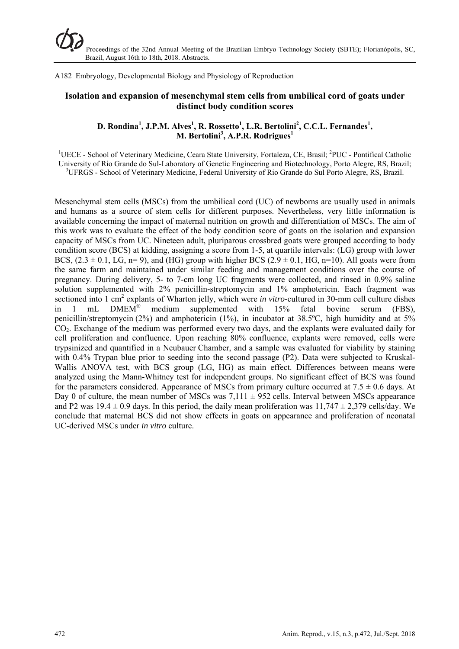A182 Embryology, Developmental Biology and Physiology of Reproduction

# **Isolation and expansion of mesenchymal stem cells from umbilical cord of goats under distinct body condition scores**

## D. Rondina<sup>1</sup>, J.P.M. Alves<sup>1</sup>, R. Rossetto<sup>1</sup>, L.R. Bertolini<sup>2</sup>, C.C.L. Fernandes<sup>1</sup>, **M. Bertolini3 , A.P.R. Rodrigues<sup>1</sup>**

<sup>1</sup>UECE - School of Veterinary Medicine, Ceara State University, Fortaleza, CE, Brasil; <sup>2</sup>PUC - Pontifical Catholic University of Rio Grande do Sul-Laboratory of Genetic Engineering and Biotechnology, Porto Alegre, RS, Brazil; <sup>3</sup>UFRGS - School of Veterinary Medicine, Federal University of Rio Grande do Sul Porto Alegre, RS, Brazil.

Mesenchymal stem cells (MSCs) from the umbilical cord (UC) of newborns are usually used in animals and humans as a source of stem cells for different purposes. Nevertheless, very little information is available concerning the impact of maternal nutrition on growth and differentiation of MSCs. The aim of this work was to evaluate the effect of the body condition score of goats on the isolation and expansion capacity of MSCs from UC. Nineteen adult, pluriparous crossbred goats were grouped according to body condition score (BCS) at kidding, assigning a score from 1-5, at quartile intervals: (LG) group with lower BCS,  $(2.3 \pm 0.1, \text{LG}, n=9)$ , and (HG) group with higher BCS  $(2.9 \pm 0.1, \text{HG}, n=10)$ . All goats were from the same farm and maintained under similar feeding and management conditions over the course of pregnancy. During delivery, 5- to 7-cm long UC fragments were collected, and rinsed in 0.9% saline solution supplemented with 2% penicillin-streptomycin and 1% amphotericin. Each fragment was sectioned into 1 cm<sup>2</sup> explants of Wharton jelly, which were *in vitro*-cultured in 30-mm cell culture dishes in 1 mL  $DMEM^{\circledR}$  medium supplemented with 15% fetal bovine serum (FBS), penicillin/streptomycin (2%) and amphotericin (1%), in incubator at 38.5 $^{\circ}$ C, high humidity and at 5% CO<sub>2</sub>. Exchange of the medium was performed every two days, and the explants were evaluated daily for cell proliferation and confluence. Upon reaching 80% confluence, explants were removed, cells were trypsinized and quantified in a Neubauer Chamber, and a sample was evaluated for viability by staining with 0.4% Trypan blue prior to seeding into the second passage (P2). Data were subjected to Kruskal-Wallis ANOVA test, with BCS group (LG, HG) as main effect. Differences between means were analyzed using the Mann-Whitney test for independent groups. No significant effect of BCS was found for the parameters considered. Appearance of MSCs from primary culture occurred at 7.5  $\pm$  0.6 days. At Day 0 of culture, the mean number of MSCs was  $7,111 \pm 952$  cells. Interval between MSCs appearance and P2 was  $19.4 \pm 0.9$  days. In this period, the daily mean proliferation was  $11,747 \pm 2,379$  cells/day. We conclude that maternal BCS did not show effects in goats on appearance and proliferation of neonatal UC-derived MSCs under *in vitro* culture.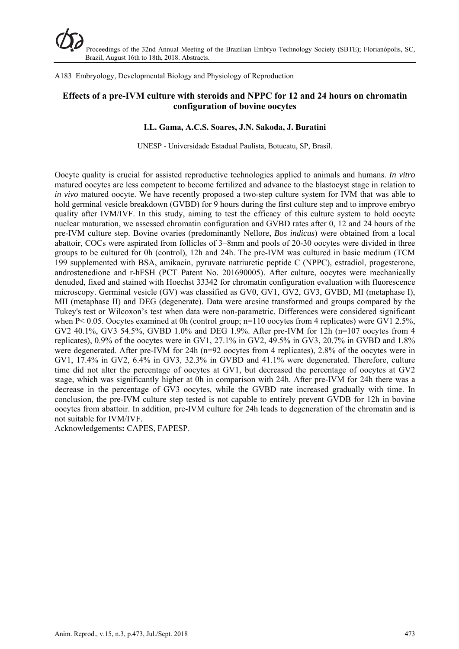A183 Embryology, Developmental Biology and Physiology of Reproduction

# **Effects of a pre-IVM culture with steroids and NPPC for 12 and 24 hours on chromatin configuration of bovine oocytes**

#### **I.L. Gama, A.C.S. Soares, J.N. Sakoda, J. Buratini**

UNESP - Universidade Estadual Paulista, Botucatu, SP, Brasil.

Oocyte quality is crucial for assisted reproductive technologies applied to animals and humans. *In vitro* matured oocytes are less competent to become fertilized and advance to the blastocyst stage in relation to *in vivo* matured oocyte. We have recently proposed a two-step culture system for IVM that was able to hold germinal vesicle breakdown (GVBD) for 9 hours during the first culture step and to improve embryo quality after IVM/IVF. In this study, aiming to test the efficacy of this culture system to hold oocyte nuclear maturation, we assessed chromatin configuration and GVBD rates after 0, 12 and 24 hours of the pre-IVM culture step. Bovine ovaries (predominantly Nellore, *Bos indicus*) were obtained from a local abattoir, COCs were aspirated from follicles of 3–8mm and pools of 20-30 oocytes were divided in three groups to be cultured for 0h (control), 12h and 24h. The pre-IVM was cultured in basic medium (TCM 199 supplemented with BSA, amikacin, pyruvate natriuretic peptide C (NPPC), estradiol, progesterone, androstenedione and r-hFSH (PCT Patent No. 201690005). After culture, oocytes were mechanically denuded, fixed and stained with Hoechst 33342 for chromatin configuration evaluation with fluorescence microscopy. Germinal vesicle (GV) was classified as GV0, GV1, GV2, GV3, GVBD, MI (metaphase I), MII (metaphase II) and DEG (degenerate). Data were arcsine transformed and groups compared by the Tukey's test or Wilcoxon's test when data were non-parametric. Differences were considered significant when P< 0.05. Oocytes examined at 0h (control group; n=110 oocytes from 4 replicates) were GV1 2.5%, GV2 40.1%, GV3 54.5%, GVBD 1.0% and DEG 1.9%. After pre-IVM for 12h (n=107 oocytes from 4 replicates), 0.9% of the oocytes were in GV1, 27.1% in GV2, 49.5% in GV3, 20.7% in GVBD and 1.8% were degenerated. After pre-IVM for 24h (n=92 oocytes from 4 replicates), 2.8% of the oocytes were in GV1, 17.4% in GV2, 6.4% in GV3, 32.3% in GVBD and 41.1% were degenerated. Therefore, culture time did not alter the percentage of oocytes at GV1, but decreased the percentage of oocytes at GV2 stage, which was significantly higher at 0h in comparison with 24h. After pre-IVM for 24h there was a decrease in the percentage of GV3 oocytes, while the GVBD rate increased gradually with time. In conclusion, the pre-IVM culture step tested is not capable to entirely prevent GVDB for 12h in bovine oocytes from abattoir. In addition, pre-IVM culture for 24h leads to degeneration of the chromatin and is not suitable for IVM/IVF.

Acknowledgements**:** CAPES, FAPESP.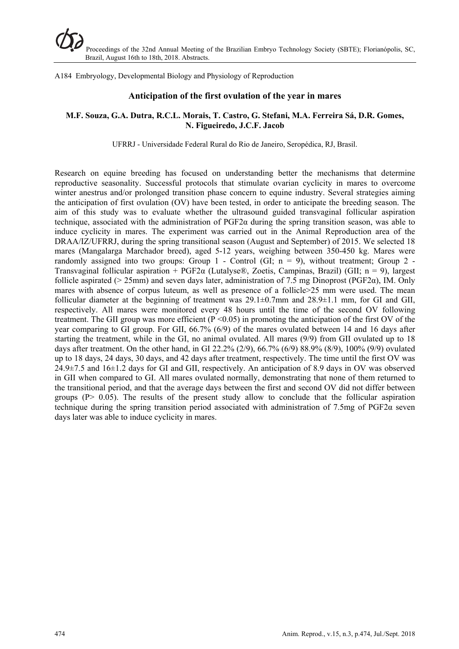A184 Embryology, Developmental Biology and Physiology of Reproduction

#### **Anticipation of the first ovulation of the year in mares**

#### **M.F. Souza, G.A. Dutra, R.C.L. Morais, T. Castro, G. Stefani, M.A. Ferreira Sá, D.R. Gomes, N. Figueiredo, J.C.F. Jacob**

UFRRJ - Universidade Federal Rural do Rio de Janeiro, Seropédica, RJ, Brasil.

Research on equine breeding has focused on understanding better the mechanisms that determine reproductive seasonality. Successful protocols that stimulate ovarian cyclicity in mares to overcome winter anestrus and/or prolonged transition phase concern to equine industry. Several strategies aiming the anticipation of first ovulation (OV) have been tested, in order to anticipate the breeding season. The aim of this study was to evaluate whether the ultrasound guided transvaginal follicular aspiration technique, associated with the administration of PGF2α during the spring transition season, was able to induce cyclicity in mares. The experiment was carried out in the Animal Reproduction area of the DRAA/IZ/UFRRJ, during the spring transitional season (August and September) of 2015. We selected 18 mares (Mangalarga Marchador breed), aged 5-12 years, weighing between 350-450 kg. Mares were randomly assigned into two groups: Group 1 - Control (GI;  $n = 9$ ), without treatment; Group 2 -Transvaginal follicular aspiration + PGF2 $\alpha$  (Lutalyse®, Zoetis, Campinas, Brazil) (GII; n = 9), largest follicle aspirated ( $> 25$ mm) and seven days later, administration of 7.5 mg Dinoprost (PGF2 $\alpha$ ), IM. Only mares with absence of corpus luteum, as well as presence of a follicle > 25 mm were used. The mean follicular diameter at the beginning of treatment was  $29.1\pm0.7$ mm and  $28.9\pm1.1$  mm, for GI and GII, respectively. All mares were monitored every 48 hours until the time of the second OV following treatment. The GII group was more efficient ( $P \le 0.05$ ) in promoting the anticipation of the first OV of the year comparing to GI group. For GII, 66.7% (6/9) of the mares ovulated between 14 and 16 days after starting the treatment, while in the GI, no animal ovulated. All mares (9/9) from GII ovulated up to 18 days after treatment. On the other hand, in GI 22.2% (2/9), 66.7% (6/9) 88.9% (8/9), 100% (9/9) ovulated up to 18 days, 24 days, 30 days, and 42 days after treatment, respectively. The time until the first OV was 24.9±7.5 and 16±1.2 days for GI and GII, respectively. An anticipation of 8.9 days in OV was observed in GII when compared to GI. All mares ovulated normally, demonstrating that none of them returned to the transitional period, and that the average days between the first and second OV did not differ between groups ( $P > 0.05$ ). The results of the present study allow to conclude that the follicular aspiration technique during the spring transition period associated with administration of 7.5mg of PGF2α seven days later was able to induce cyclicity in mares.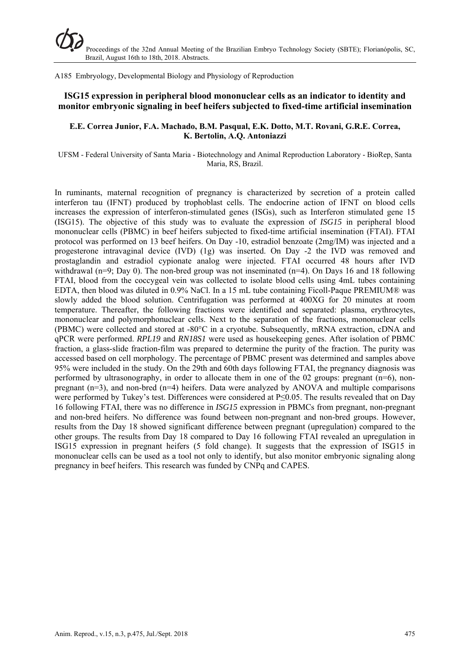A185 Embryology, Developmental Biology and Physiology of Reproduction

# **ISG15 expression in peripheral blood mononuclear cells as an indicator to identity and monitor embryonic signaling in beef heifers subjected to fixed-time artificial insemination**

#### **E.E. Correa Junior, F.A. Machado, B.M. Pasqual, E.K. Dotto, M.T. Rovani, G.R.E. Correa, K. Bertolin, A.Q. Antoniazzi**

UFSM - Federal University of Santa Maria - Biotechnology and Animal Reproduction Laboratory - BioRep, Santa Maria, RS, Brazil.

In ruminants, maternal recognition of pregnancy is characterized by secretion of a protein called interferon tau (IFNT) produced by trophoblast cells. The endocrine action of IFNT on blood cells increases the expression of interferon-stimulated genes (ISGs), such as Interferon stimulated gene 15 (ISG15). The objective of this study was to evaluate the expression of *ISG15* in peripheral blood mononuclear cells (PBMC) in beef heifers subjected to fixed-time artificial insemination (FTAI). FTAI protocol was performed on 13 beef heifers. On Day -10, estradiol benzoate (2mg/IM) was injected and a progesterone intravaginal device (IVD) (1g) was inserted. On Day -2 the IVD was removed and prostaglandin and estradiol cypionate analog were injected. FTAI occurred 48 hours after IVD withdrawal (n=9; Day 0). The non-bred group was not inseminated (n=4). On Days 16 and 18 following FTAI, blood from the coccygeal vein was collected to isolate blood cells using 4mL tubes containing EDTA, then blood was diluted in 0.9% NaCl. In a 15 mL tube containing Ficoll-Paque PREMIUM® was slowly added the blood solution. Centrifugation was performed at 400XG for 20 minutes at room temperature. Thereafter, the following fractions were identified and separated: plasma, erythrocytes, mononuclear and polymorphonuclear cells. Next to the separation of the fractions, mononuclear cells (PBMC) were collected and stored at -80°C in a cryotube. Subsequently, mRNA extraction, cDNA and qPCR were performed. *RPL19* and *RN18S1* were used as housekeeping genes. After isolation of PBMC fraction, a glass-slide fraction-film was prepared to determine the purity of the fraction. The purity was accessed based on cell morphology. The percentage of PBMC present was determined and samples above 95% were included in the study. On the 29th and 60th days following FTAI, the pregnancy diagnosis was performed by ultrasonography, in order to allocate them in one of the 02 groups: pregnant  $(n=6)$ , nonpregnant  $(n=3)$ , and non-bred  $(n=4)$  heifers. Data were analyzed by ANOVA and multiple comparisons were performed by Tukey's test. Differences were considered at P≤0.05. The results revealed that on Day 16 following FTAI, there was no difference in *ISG15* expression in PBMCs from pregnant, non-pregnant and non-bred heifers. No difference was found between non-pregnant and non-bred groups. However, results from the Day 18 showed significant difference between pregnant (upregulation) compared to the other groups. The results from Day 18 compared to Day 16 following FTAI revealed an upregulation in ISG15 expression in pregnant heifers (5 fold change). It suggests that the expression of ISG15 in mononuclear cells can be used as a tool not only to identify, but also monitor embryonic signaling along pregnancy in beef heifers. This research was funded by CNPq and CAPES.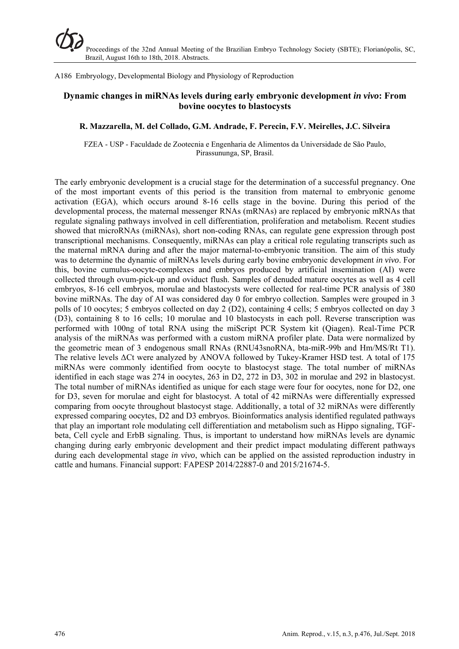A186 Embryology, Developmental Biology and Physiology of Reproduction

# **Dynamic changes in miRNAs levels during early embryonic development** *in vivo***: From bovine oocytes to blastocysts**

#### **R. Mazzarella, M. del Collado, G.M. Andrade, F. Perecin, F.V. Meirelles, J.C. Silveira**

FZEA - USP - Faculdade de Zootecnia e Engenharia de Alimentos da Universidade de São Paulo, Pirassununga, SP, Brasil.

The early embryonic development is a crucial stage for the determination of a successful pregnancy. One of the most important events of this period is the transition from maternal to embryonic genome activation (EGA), which occurs around 8-16 cells stage in the bovine. During this period of the developmental process, the maternal messenger RNAs (mRNAs) are replaced by embryonic mRNAs that regulate signaling pathways involved in cell differentiation, proliferation and metabolism. Recent studies showed that microRNAs (miRNAs), short non-coding RNAs, can regulate gene expression through post transcriptional mechanisms. Consequently, miRNAs can play a critical role regulating transcripts such as the maternal mRNA during and after the major maternal-to-embryonic transition. The aim of this study was to determine the dynamic of miRNAs levels during early bovine embryonic development *in vivo*. For this, bovine cumulus-oocyte-complexes and embryos produced by artificial insemination (AI) were collected through ovum-pick-up and oviduct flush. Samples of denuded mature oocytes as well as 4 cell embryos, 8-16 cell embryos, morulae and blastocysts were collected for real-time PCR analysis of 380 bovine miRNAs. The day of AI was considered day 0 for embryo collection. Samples were grouped in 3 polls of 10 oocytes; 5 embryos collected on day 2 (D2), containing 4 cells; 5 embryos collected on day 3 (D3), containing 8 to 16 cells; 10 morulae and 10 blastocysts in each poll. Reverse transcription was performed with 100ng of total RNA using the miScript PCR System kit (Qiagen). Real-Time PCR analysis of the miRNAs was performed with a custom miRNA profiler plate. Data were normalized by the geometric mean of 3 endogenous small RNAs (RNU43snoRNA, bta-miR-99b and Hm/MS/Rt T1). The relative levels ΔCt were analyzed by ANOVA followed by Tukey-Kramer HSD test. A total of 175 miRNAs were commonly identified from oocyte to blastocyst stage. The total number of miRNAs identified in each stage was 274 in oocytes, 263 in D2, 272 in D3, 302 in morulae and 292 in blastocyst. The total number of miRNAs identified as unique for each stage were four for oocytes, none for D2, one for D3, seven for morulae and eight for blastocyst. A total of 42 miRNAs were differentially expressed comparing from oocyte throughout blastocyst stage. Additionally, a total of 32 miRNAs were differently expressed comparing oocytes, D2 and D3 embryos. Bioinformatics analysis identified regulated pathways that play an important role modulating cell differentiation and metabolism such as Hippo signaling, TGFbeta, Cell cycle and ErbB signaling. Thus, is important to understand how miRNAs levels are dynamic changing during early embryonic development and their predict impact modulating different pathways during each developmental stage *in vivo*, which can be applied on the assisted reproduction industry in cattle and humans. Financial support: FAPESP 2014/22887-0 and 2015/21674-5.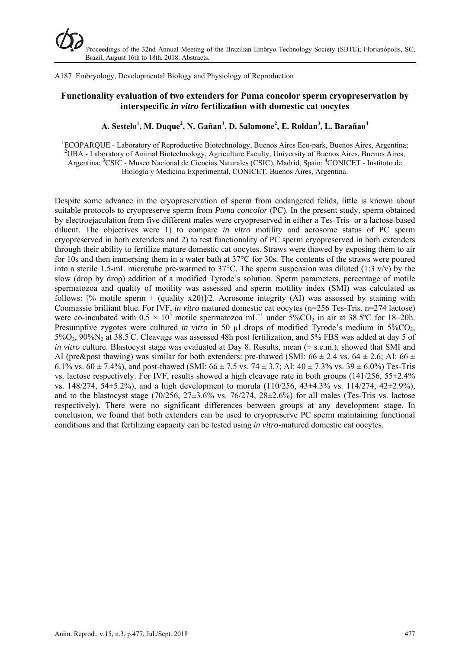A187 Embryology, Developmental Biology and Physiology of Reproduction

# **Functionality evaluation of two extenders for Puma concolor sperm cryopreservation by interspecific** *in vitro* **fertilization with domestic cat oocytes**

# **A. Sestelo<sup>1</sup> , M. Duque2 , N. Gañan3 , D. Salamone2 , E. Roldan3 , L. Barañao4**

<sup>1</sup>ECOPARQUE - Laboratory of Reproductive Biotechnology, Buenos Aires Eco-park, Buenos Aires, Argentina; <sup>2</sup>LIBA - Laboratory of Animal Biotechnology, Acrigulture Ecoulty, University of Buenos Aires, Buenos Aires  $^{2}$ UBA - Laboratory of Animal Biotechnology, Agriculture Faculty, University of Buenos Aires, Buenos Aires, Argentina; <sup>3</sup>CSIC - Museo Nacional de Ciencias Naturales (CSIC), Madrid, Spain; <sup>4</sup>CONICET - Instituto de Biología y Medicina Experimental, CONICET, Buenos Aires, Argentina.

Despite some advance in the cryopreservation of sperm from endangered felids, little is known about suitable protocols to cryopreserve sperm from *Puma concolor* (PC). In the present study, sperm obtained by electroejaculation from five different males were cryopreserved in either a Tes-Tris- or a lactose-based diluent. The objectives were 1) to compare *in vitro* motility and acrosome status of PC sperm cryopreserved in both extenders and 2) to test functionality of PC sperm cryopreserved in both extenders through their ability to fertilize mature domestic cat oocytes. Straws were thawed by exposing them to air for 10s and then immersing them in a water bath at 37°C for 30s. The contents of the straws were poured into a sterile 1.5-mL microtube pre-warmed to 37 $^{\circ}$ C. The sperm suspension was diluted (1:3 v/v) by the slow (drop by drop) addition of a modified Tyrode's solution. Sperm parameters, percentage of motile spermatozoa and quality of motility was assessed and sperm motility index (SMI) was calculated as follows:  $[\%$  motile sperm + (quality x20)]/2. Acrosome integrity (AI) was assessed by staining with Coomassie brilliant blue. For IVF, *in vitro* matured domestic cat oocytes (n=256 Tes-Tris, n=274 lactose) were co-incubated with  $0.5 \times 10^5$  motile spermatozoa mL<sup>-1</sup> under  $5\%CO_2$  in air at 38.5°C for 18–20h. Presumptive zygotes were cultured *in vitro* in 50 µl drops of modified Tyrode's medium in 5%CO<sub>2</sub>, 5%O<sub>2</sub>, 90%N<sub>2</sub> at 38.5°C. Cleavage was assessed 48h post fertilization, and 5% FBS was added at day 5 of *in vitro* culture. Blastocyst stage was evaluated at Day 8. Results, mean ( $\pm$  s.e.m.), showed that SMI and AI (pre&post thawing) was similar for both extenders: pre-thawed (SMI:  $66 \pm 2.4$  vs.  $64 \pm 2.6$ ; AI:  $66 \pm 2.4$ 6.1% vs.  $60 \pm 7.4$ %), and post-thawed (SMI:  $66 \pm 7.5$  vs.  $74 \pm 3.7$ ; AI:  $40 \pm 7.3$ % vs.  $39 \pm 6.0$ %) Tes-Tris vs. lactose respectively. For IVF, results showed a high cleavage rate in both groups  $(141/256, 55\pm2.4\%)$ vs. 148/274, 54±5.2%), and a high development to morula (110/256, 43±4.3% vs. 114/274, 42±2.9%), and to the blastocyst stage (70/256,  $27\pm3.6\%$  vs. 76/274,  $28\pm2.6\%$ ) for all males (Tes-Tris vs. lactose respectively). There were no significant differences between groups at any development stage. In conclusion, we found that both extenders can be used to cryopreserve PC sperm maintaining functional conditions and that fertilizing capacity can be tested using *in vitro*-matured domestic cat oocytes.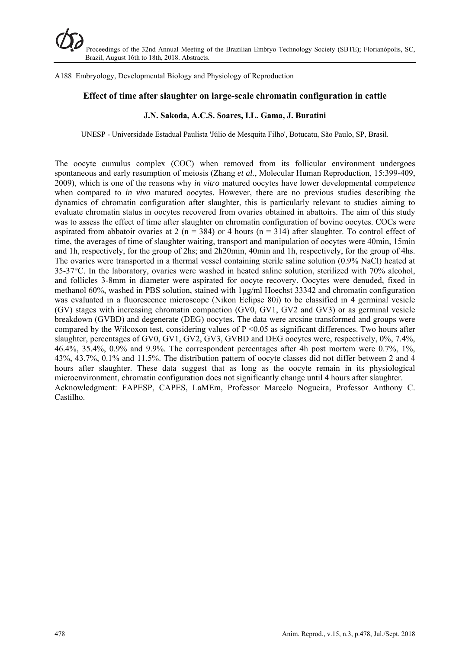A188 Embryology, Developmental Biology and Physiology of Reproduction

#### **Effect of time after slaughter on large-scale chromatin configuration in cattle**

#### **J.N. Sakoda, A.C.S. Soares, I.L. Gama, J. Buratini**

UNESP - Universidade Estadual Paulista 'Júlio de Mesquita Filho', Botucatu, São Paulo, SP, Brasil.

The oocyte cumulus complex (COC) when removed from its follicular environment undergoes spontaneous and early resumption of meiosis (Zhang *et al.*, Molecular Human Reproduction, 15:399-409, 2009), which is one of the reasons why *in vitro* matured oocytes have lower developmental competence when compared to *in vivo* matured oocytes. However, there are no previous studies describing the dynamics of chromatin configuration after slaughter, this is particularly relevant to studies aiming to evaluate chromatin status in oocytes recovered from ovaries obtained in abattoirs. The aim of this study was to assess the effect of time after slaughter on chromatin configuration of bovine oocytes. COCs were aspirated from abbatoir ovaries at 2 ( $n = 384$ ) or 4 hours ( $n = 314$ ) after slaughter. To control effect of time, the averages of time of slaughter waiting, transport and manipulation of oocytes were 40min, 15min and 1h, respectively, for the group of 2hs; and 2h20min, 40min and 1h, respectively, for the group of 4hs. The ovaries were transported in a thermal vessel containing sterile saline solution (0.9% NaCl) heated at 35-37°C. In the laboratory, ovaries were washed in heated saline solution, sterilized with 70% alcohol, and follicles 3-8mm in diameter were aspirated for oocyte recovery. Oocytes were denuded, fixed in methanol 60%, washed in PBS solution, stained with 1μg/ml Hoechst 33342 and chromatin configuration was evaluated in a fluorescence microscope (Nikon Eclipse 80i) to be classified in 4 germinal vesicle (GV) stages with increasing chromatin compaction (GV0, GV1, GV2 and GV3) or as germinal vesicle breakdown (GVBD) and degenerate (DEG) oocytes. The data were arcsine transformed and groups were compared by the Wilcoxon test, considering values of  $P \le 0.05$  as significant differences. Two hours after slaughter, percentages of GV0, GV1, GV2, GV3, GVBD and DEG oocytes were, respectively, 0%, 7.4%, 46.4%, 35.4%, 0.9% and 9.9%. The correspondent percentages after 4h post mortem were 0.7%, 1%, 43%, 43.7%, 0.1% and 11.5%. The distribution pattern of oocyte classes did not differ between 2 and 4 hours after slaughter. These data suggest that as long as the oocyte remain in its physiological microenvironment, chromatin configuration does not significantly change until 4 hours after slaughter. Acknowledgment: FAPESP, CAPES, LaMEm, Professor Marcelo Nogueira, Professor Anthony C. Castilho.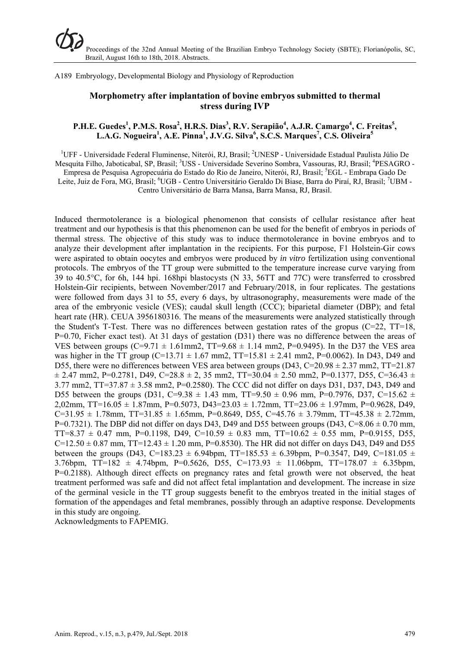A189 Embryology, Developmental Biology and Physiology of Reproduction

## **Morphometry after implantation of bovine embryos submitted to thermal stress during IVP**

#### **P.H.E. Guedes<sup>1</sup>, P.M.S. Rosa<sup>2</sup>, H.R.S. Dias<sup>3</sup>, R.V. Serapião<sup>4</sup>, A.J.R. Camargo<sup>4</sup>, C. Freitas<sup>5</sup>,** L.A.G. Nogueira<sup>1</sup>, A.E. Pinna<sup>1</sup>, J.V.G. Silva<sup>6</sup>, S.C.S. Marques<sup>7</sup>, C.S. Oliveira<sup>5</sup>

<sup>1</sup>UFF - Universidade Federal Fluminense, Niterói, RJ, Brasil; <sup>2</sup>UNESP - Universidade Estadual Paulista Júlio De Mesquita Filho, Jaboticabal, SP, Brasil; <sup>3</sup>USS - Universidade Severino Sombra, Vassouras, RJ, Brasil; <sup>4</sup>PESAGRO -Empresa de Pesquisa Agropecuária do Estado do Rio de Janeiro, Niterói, RJ, Brasil; <sup>5</sup>EGL - Embrapa Gado De Leite, Juiz de Fora, MG, Brasil; <sup>6</sup>UGB - Centro Universitário Geraldo Di Biase, Barra do Piraí, RJ, Brasil; <sup>7</sup>UBM -Centro Universitário de Barra Mansa, Barra Mansa, RJ, Brasil.

Induced thermotolerance is a biological phenomenon that consists of cellular resistance after heat treatment and our hypothesis is that this phenomenon can be used for the benefit of embryos in periods of thermal stress. The objective of this study was to induce thermotolerance in bovine embryos and to analyze their development after implantation in the recipients. For this purpose, F1 Holstein-Gir cows were aspirated to obtain oocytes and embryos were produced by *in vitro* fertilization using conventional protocols. The embryos of the TT group were submitted to the temperature increase curve varying from 39 to 40.5°C, for 6h, 144 hpi. 168hpi blastocysts (N 33, 56TT and 77C) were transferred to crossbred Holstein-Gir recipients, between November/2017 and February/2018, in four replicates. The gestations were followed from days 31 to 55, every 6 days, by ultrasonography, measurements were made of the area of the embryonic vesicle (VES); caudal skull length (CCC); biparietal diameter (DBP); and fetal heart rate (HR). CEUA 3956180316. The means of the measurements were analyzed statistically through the Student's T-Test. There was no differences between gestation rates of the gropus  $(C=22, TT=18,$ P=0.70, Ficher exact test). At 31 days of gestation (D31) there was no difference between the areas of VES between groups (C=9.71  $\pm$  1.61mm2, TT=9.68  $\pm$  1.14 mm2, P=0.9495). In the D37 the VES area was higher in the TT group (C=13.71  $\pm$  1.67 mm2, TT=15.81  $\pm$  2.41 mm2, P=0.0062). In D43, D49 and D55, there were no differences between VES area between groups (D43,  $C=20.98 \pm 2.37$  mm2, TT=21.87  $\pm$  2.47 mm2, P=0.2781, D49, C=28.8  $\pm$  2, 35 mm2, TT=30.04  $\pm$  2.50 mm2, P=0.1377, D55, C=36.43  $\pm$ 3.77 mm2, TT=37.87 ± 3.58 mm2, P=0.2580). The CCC did not differ on days D31, D37, D43, D49 and D55 between the groups (D31, C=9.38  $\pm$  1.43 mm, TT=9.50  $\pm$  0.96 mm, P=0.7976, D37, C=15.62  $\pm$ 2,02mm, TT=16.05  $\pm$  1.87mm, P=0.5073, D43=23.03  $\pm$  1.72mm, TT=23.06  $\pm$  1.97mm, P=0.9628, D49,  $C=31.95 \pm 1.78$ mm, TT=31.85  $\pm$  1.65mm, P=0.8649, D55, C=45.76  $\pm$  3.79mm, TT=45.38  $\pm$  2.72mm, P=0.7321). The DBP did not differ on days D43, D49 and D55 between groups (D43, C=8.06  $\pm$  0.70 mm, TT=8.37  $\pm$  0.47 mm, P=0.1198, D49, C=10.59  $\pm$  0.83 mm, TT=10.62  $\pm$  0.55 mm, P=0.9155, D55,  $C=12.50 \pm 0.87$  mm, TT=12.43  $\pm$  1.20 mm, P=0.8530). The HR did not differ on days D43, D49 and D55 between the groups (D43, C=183.23  $\pm$  6.94bpm, TT=185.53  $\pm$  6.39bpm, P=0.3547, D49, C=181.05  $\pm$ 3.76bpm, TT=182 ± 4.74bpm, P=0.5626, D55, C=173.93 ± 11.06bpm, TT=178.07 ± 6.35bpm, P=0.2188). Although direct effects on pregnancy rates and fetal growth were not observed, the heat treatment performed was safe and did not affect fetal implantation and development. The increase in size of the germinal vesicle in the TT group suggests benefit to the embryos treated in the initial stages of formation of the appendages and fetal membranes, possibly through an adaptive response. Developments in this study are ongoing.

Acknowledgments to FAPEMIG.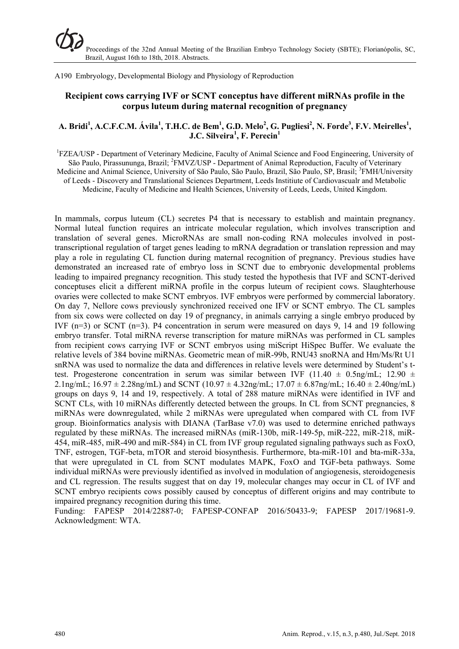A190 Embryology, Developmental Biology and Physiology of Reproduction

# **Recipient cows carrying IVF or SCNT conceptus have different miRNAs profile in the corpus luteum during maternal recognition of pregnancy**

#### $\mathbf{A}. \text{ Bridi}^1, \text{ A.C.F.C.M. Ávila}^1, \text{T.H.C.} \text{ de Bem}^1, \text{ G.D. Melo}^2, \text{ G. Pugliesi}^2, \text{ N. Forde}^3, \text{ F.V. Meirelles}^1,$ **J.C. Silveira<sup>1</sup> , F. Perecin1**

<sup>1</sup>FZEA/USP - Department of Veterinary Medicine, Faculty of Animal Science and Food Engineering, University of São Paulo, Pirassununga, Brazil; <sup>2</sup>FMVZ/USP - Department of Animal Reproduction, Faculty of Veterinary Medicine and Animal Science, University of São Paulo, São Paulo, Brazil, São Paulo, SP, Brasil; <sup>3</sup>FMH/University of Leeds - Discovery and Translational Sciences Department, Leeds Institiute of Cardiovascualr and Metabolic Medicine, Faculty of Medicine and Health Sciences, University of Leeds, Leeds, United Kingdom.

In mammals, corpus luteum (CL) secretes P4 that is necessary to establish and maintain pregnancy. Normal luteal function requires an intricate molecular regulation, which involves transcription and translation of several genes. MicroRNAs are small non-coding RNA molecules involved in posttranscriptional regulation of target genes leading to mRNA degradation or translation repression and may play a role in regulating CL function during maternal recognition of pregnancy. Previous studies have demonstrated an increased rate of embryo loss in SCNT due to embryonic developmental problems leading to impaired pregnancy recognition. This study tested the hypothesis that IVF and SCNT-derived conceptuses elicit a different miRNA profile in the corpus luteum of recipient cows. Slaughterhouse ovaries were collected to make SCNT embryos. IVF embryos were performed by commercial laboratory. On day 7, Nellore cows previously synchronized received one IFV or SCNT embryo. The CL samples from six cows were collected on day 19 of pregnancy, in animals carrying a single embryo produced by IVF (n=3) or SCNT (n=3). P4 concentration in serum were measured on days 9, 14 and 19 following embryo transfer. Total miRNA reverse transcription for mature miRNAs was performed in CL samples from recipient cows carrying IVF or SCNT embryos using miScript HiSpec Buffer. We evaluate the relative levels of 384 bovine miRNAs. Geometric mean of miR-99b, RNU43 snoRNA and Hm/Ms/Rt U1 snRNA was used to normalize the data and differences in relative levels were determined by Student's ttest. Progesterone concentration in serum was similar between IVF (11.40  $\pm$  0.5ng/mL; 12.90  $\pm$ 2.1ng/mL;  $16.97 \pm 2.28$ ng/mL) and SCNT ( $10.97 \pm 4.32$ ng/mL;  $17.07 \pm 6.87$ ng/mL;  $16.40 \pm 2.40$ ng/mL) groups on days 9, 14 and 19, respectively. A total of 288 mature miRNAs were identified in IVF and SCNT CLs, with 10 miRNAs differently detected between the groups. In CL from SCNT pregnancies, 8 miRNAs were downregulated, while 2 miRNAs were upregulated when compared with CL from IVF group. Bioinformatics analysis with DIANA (TarBase v7.0) was used to determine enriched pathways regulated by these miRNAs. The increased miRNAs (miR-130b, miR-149-5p, miR-222, miR-218, miR-454, miR-485, miR-490 and miR-584) in CL from IVF group regulated signaling pathways such as FoxO, TNF, estrogen, TGF-beta, mTOR and steroid biosynthesis. Furthermore, bta-miR-101 and bta-miR-33a, that were upregulated in CL from SCNT modulates MAPK, FoxO and TGF-beta pathways. Some individual miRNAs were previously identified as involved in modulation of angiogenesis, steroidogenesis and CL regression. The results suggest that on day 19, molecular changes may occur in CL of IVF and SCNT embryo recipients cows possibly caused by conceptus of different origins and may contribute to impaired pregnancy recognition during this time.

Funding: FAPESP 2014/22887-0; FAPESP-CONFAP 2016/50433-9; FAPESP 2017/19681-9. Acknowledgment: WTA.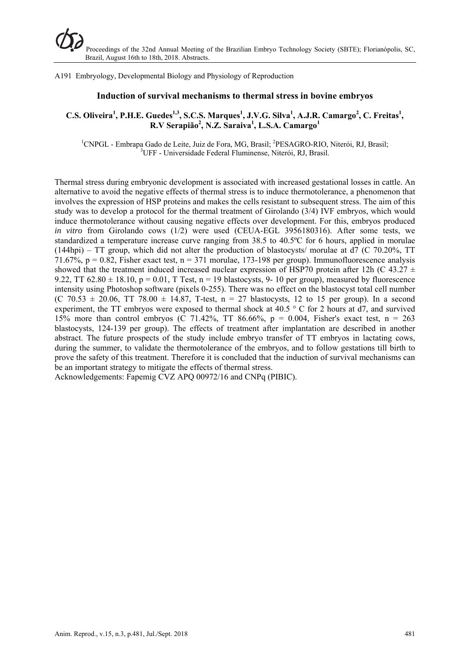A191 Embryology, Developmental Biology and Physiology of Reproduction

#### **Induction of survival mechanisms to thermal stress in bovine embryos**

# **C.S. Oliveira<sup>1</sup>, P.H.E. Guedes<sup>1,3</sup>, S.C.S. Marques<sup>1</sup>, J.V.G. Silva<sup>1</sup>, A.J.R. Camargo<sup>2</sup>, C. Freitas<sup>1</sup>, R.V Serapião<sup>2</sup> , N.Z. Saraiva<sup>1</sup> , L.S.A. Camargo<sup>1</sup>**

<sup>1</sup>CNPGL - Embrapa Gado de Leite, Juiz de Fora, MG, Brasil; <sup>2</sup>PESAGRO-RIO, Niterói, RJ, Brasil; <sup>3</sup>UFF - Universidade Federal Fluminense, Niterói, RJ, Brasil.

Thermal stress during embryonic development is associated with increased gestational losses in cattle. An alternative to avoid the negative effects of thermal stress is to induce thermotolerance, a phenomenon that involves the expression of HSP proteins and makes the cells resistant to subsequent stress. The aim of this study was to develop a protocol for the thermal treatment of Girolando (3/4) IVF embryos, which would induce thermotolerance without causing negative effects over development. For this, embryos produced *in vitro* from Girolando cows (1/2) were used (CEUA-EGL 3956180316). After some tests, we standardized a temperature increase curve ranging from 38.5 to 40.5ºC for 6 hours, applied in morulae  $(144$ hpi) – TT group, which did not alter the production of blastocysts/ morulae at d7 (C 70.20%, TT 71.67%,  $p = 0.82$ , Fisher exact test,  $n = 371$  morulae, 173-198 per group). Immunofluorescence analysis showed that the treatment induced increased nuclear expression of HSP70 protein after 12h (C 43.27  $\pm$ 9.22, TT 62.80  $\pm$  18.10, p = 0.01, T Test, n = 19 blastocysts, 9- 10 per group), measured by fluorescence intensity using Photoshop software (pixels 0-255). There was no effect on the blastocyst total cell number  $(C \ 70.53 \pm 20.06, T$ T 78.00  $\pm$  14.87, T-test, n = 27 blastocysts, 12 to 15 per group). In a second experiment, the TT embryos were exposed to thermal shock at  $40.5 \degree$  C for 2 hours at d7, and survived 15% more than control embryos (C 71.42%, TT 86.66%,  $p = 0.004$ , Fisher's exact test,  $n = 263$ blastocysts, 124-139 per group). The effects of treatment after implantation are described in another abstract. The future prospects of the study include embryo transfer of TT embryos in lactating cows, during the summer, to validate the thermotolerance of the embryos, and to follow gestations till birth to prove the safety of this treatment. Therefore it is concluded that the induction of survival mechanisms can be an important strategy to mitigate the effects of thermal stress.

Acknowledgements: Fapemig CVZ APQ 00972/16 and CNPq (PIBIC).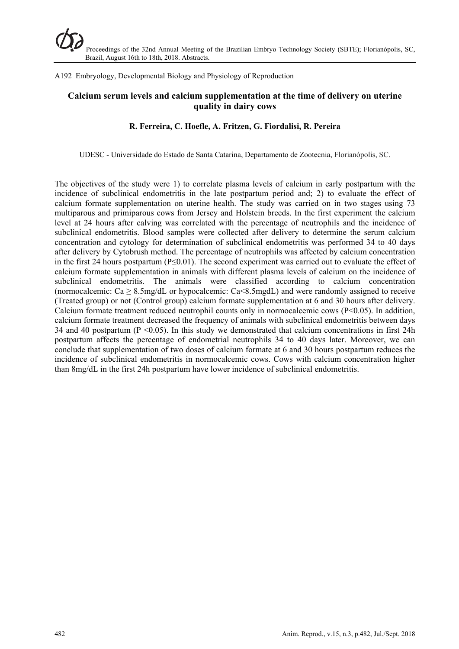A192 Embryology, Developmental Biology and Physiology of Reproduction

# **Calcium serum levels and calcium supplementation at the time of delivery on uterine quality in dairy cows**

#### **R. Ferreira, C. Hoefle, A. Fritzen, G. Fiordalisi, R. Pereira**

UDESC - Universidade do Estado de Santa Catarina, Departamento de Zootecnia, Florianópolis, SC.

The objectives of the study were 1) to correlate plasma levels of calcium in early postpartum with the incidence of subclinical endometritis in the late postpartum period and; 2) to evaluate the effect of calcium formate supplementation on uterine health. The study was carried on in two stages using 73 multiparous and primiparous cows from Jersey and Holstein breeds. In the first experiment the calcium level at 24 hours after calving was correlated with the percentage of neutrophils and the incidence of subclinical endometritis. Blood samples were collected after delivery to determine the serum calcium concentration and cytology for determination of subclinical endometritis was performed 34 to 40 days after delivery by Cytobrush method. The percentage of neutrophils was affected by calcium concentration in the first 24 hours postpartum (P≤0.01). The second experiment was carried out to evaluate the effect of calcium formate supplementation in animals with different plasma levels of calcium on the incidence of subclinical endometritis. The animals were classified according to calcium concentration (normocalcemic:  $Ca \geq 8.5$ mg/dL or hypocalcemic:  $Ca \leq 8.5$ mgdL) and were randomly assigned to receive (Treated group) or not (Control group) calcium formate supplementation at 6 and 30 hours after delivery. Calcium formate treatment reduced neutrophil counts only in normocalcemic cows (P<0.05). In addition, calcium formate treatment decreased the frequency of animals with subclinical endometritis between days 34 and 40 postpartum ( $P \le 0.05$ ). In this study we demonstrated that calcium concentrations in first 24h postpartum affects the percentage of endometrial neutrophils 34 to 40 days later. Moreover, we can conclude that supplementation of two doses of calcium formate at 6 and 30 hours postpartum reduces the incidence of subclinical endometritis in normocalcemic cows. Cows with calcium concentration higher than 8mg/dL in the first 24h postpartum have lower incidence of subclinical endometritis.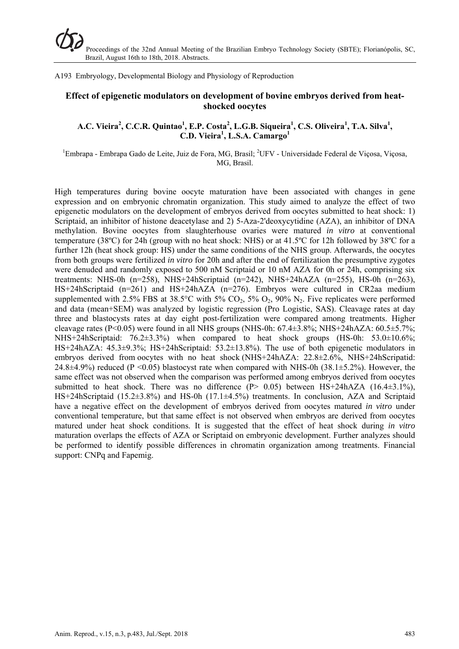A193 Embryology, Developmental Biology and Physiology of Reproduction

## **Effect of epigenetic modulators on development of bovine embryos derived from heatshocked oocytes**

## A.C. Vieira<sup>2</sup>, C.C.R. Quintao<sup>1</sup>, E.P. Costa<sup>2</sup>, L.G.B. Siqueira<sup>1</sup>, C.S. Oliveira<sup>1</sup>, T.A. Silva<sup>1</sup>, **C.D. Vieira<sup>1</sup> , L.S.A. Camargo<sup>1</sup>**

<sup>1</sup>Embrapa - Embrapa Gado de Leite, Juiz de Fora, MG, Brasil; <sup>2</sup>UFV - Universidade Federal de Viçosa, Viçosa, MG, Brasil.

High temperatures during bovine oocyte maturation have been associated with changes in gene expression and on embryonic chromatin organization. This study aimed to analyze the effect of two epigenetic modulators on the development of embryos derived from oocytes submitted to heat shock: 1) Scriptaid, an inhibitor of histone deacetylase and 2) 5-Aza-2'deoxycytidine (AZA), an inhibitor of DNA methylation. Bovine oocytes from slaughterhouse ovaries were matured *in vitro* at conventional temperature (38ºC) for 24h (group with no heat shock: NHS) or at 41.5ºC for 12h followed by 38ºC for a further 12h (heat shock group: HS) under the same conditions of the NHS group. Afterwards, the oocytes from both groups were fertilized *in vitro* for 20h and after the end of fertilization the presumptive zygotes were denuded and randomly exposed to 500 nM Scriptaid or 10 nM AZA for 0h or 24h, comprising six treatments: NHS-0h (n=258), NHS+24hScriptaid (n=242), NHS+24hAZA (n=255), HS-0h (n=263), HS+24hScriptaid (n=261) and HS+24hAZA (n=276). Embryos were cultured in CR2aa medium supplemented with 2.5% FBS at  $38.5^{\circ}$ C with 5% CO<sub>2</sub>, 5% O<sub>2</sub>, 90% N<sub>2</sub>. Five replicates were performed and data (mean+SEM) was analyzed by logistic regression (Pro Logistic, SAS). Cleavage rates at day three and blastocysts rates at day eight post-fertilization were compared among treatments. Higher cleavage rates  $(P<0.05)$  were found in all NHS groups (NHS-0h: 67.4±3.8%; NHS+24hAZA: 60.5±5.7%; NHS+24hScriptaid: 76.2±3.3%) when compared to heat shock groups (HS-0h: 53.0±10.6%; HS+24hAZA: 45.3±9.3%; HS+24hScriptaid: 53.2±13.8%). The use of both epigenetic modulators in embryos derived from oocytes with no heat shock (NHS+24hAZA: 22.8±2.6%, NHS+24hScripatid: 24.8 $\pm$ 4.9%) reduced (P <0.05) blastocyst rate when compared with NHS-0h (38.1 $\pm$ 5.2%). However, the same effect was not observed when the comparison was performed among embryos derived from oocytes submitted to heat shock. There was no difference  $(P> 0.05)$  between HS+24hAZA  $(16.4\pm3.1\%)$ , HS+24hScriptaid (15.2±3.8%) and HS-0h (17.1±4.5%) treatments. In conclusion, AZA and Scriptaid have a negative effect on the development of embryos derived from oocytes matured *in vitro* under conventional temperature, but that same effect is not observed when embryos are derived from oocytes matured under heat shock conditions. It is suggested that the effect of heat shock during *in vitro* maturation overlaps the effects of AZA or Scriptaid on embryonic development. Further analyzes should be performed to identify possible differences in chromatin organization among treatments. Financial support: CNPq and Fapemig.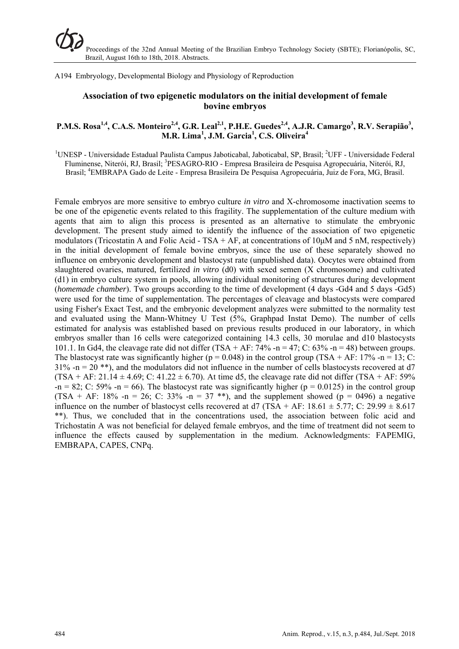A194 Embryology, Developmental Biology and Physiology of Reproduction

## **Association of two epigenetic modulators on the initial development of female bovine embryos**

## **P.M.S. Rosa<sup>1,4</sup>, C.A.S. Monteiro<sup>2,4</sup>, G.R. Leal<sup>2,1</sup>, P.H.E. Guedes<sup>2,4</sup>, A.J.R. Camargo<sup>3</sup>, R.V. Serapião<sup>3</sup>, M.R. Lima<sup>1</sup> , J.M. Garcia<sup>1</sup> , C.S. Oliveira<sup>4</sup>**

<sup>1</sup>UNESP - Universidade Estadual Paulista Campus Jaboticabal, Jaboticabal, SP, Brasil; <sup>2</sup>UFF - Universidade Federal Fluminense, Niterói, RJ, Brasil; <sup>3</sup>PESAGRO-RIO - Empresa Brasileira de Pesquisa Agropecuária, Niterói, RJ, Brasil; <sup>4</sup>EMBRAPA Gado de Leite - Empresa Brasileira De Pesquisa Agropecuária, Juiz de Fora, MG, Brasil.

Female embryos are more sensitive to embryo culture *in vitro* and X-chromosome inactivation seems to be one of the epigenetic events related to this fragility. The supplementation of the culture medium with agents that aim to align this process is presented as an alternative to stimulate the embryonic development. The present study aimed to identify the influence of the association of two epigenetic modulators (Tricostatin A and Folic Acid - TSA + AF, at concentrations of  $10\mu$ M and 5 nM, respectively) in the initial development of female bovine embryos, since the use of these separately showed no influence on embryonic development and blastocyst rate (unpublished data). Oocytes were obtained from slaughtered ovaries, matured, fertilized *in vitro* (d0) with sexed semen (X chromosome) and cultivated (d1) in embryo culture system in pools, allowing individual monitoring of structures during development (*homemade chamber*). Two groups according to the time of development (4 days -Gd4 and 5 days -Gd5) were used for the time of supplementation. The percentages of cleavage and blastocysts were compared using Fisher's Exact Test, and the embryonic development analyzes were submitted to the normality test and evaluated using the Mann-Whitney U Test (5%, Graphpad Instat Demo). The number of cells estimated for analysis was established based on previous results produced in our laboratory, in which embryos smaller than 16 cells were categorized containing 14.3 cells, 30 morulae and d10 blastocysts 101.1. In Gd4, the cleavage rate did not differ (TSA + AF: 74% -n = 47; C: 63% -n = 48) between groups. The blastocyst rate was significantly higher ( $p = 0.048$ ) in the control group (TSA + AF: 17% -n = 13; C:  $31\%$  -n = 20<sup>\*\*</sup>), and the modulators did not influence in the number of cells blastocysts recovered at d7  $(TSA + AF: 21.14 \pm 4.69; C: 41.22 \pm 6.70)$ . At time d5, the cleavage rate did not differ  $(TSA + AF: 59\%$  $-n = 82$ ; C: 59% -n = 66). The blastocyst rate was significantly higher (p = 0.0125) in the control group (TSA + AF: 18% -n = 26; C: 33% -n = 37 \*\*), and the supplement showed (p = 0496) a negative influence on the number of blastocyst cells recovered at d7 (TSA + AF: 18.61  $\pm$  5.77; C: 29.99  $\pm$  8.617 \*\*). Thus, we concluded that in the concentrations used, the association between folic acid and Trichostatin A was not beneficial for delayed female embryos, and the time of treatment did not seem to influence the effects caused by supplementation in the medium. Acknowledgments: FAPEMIG, EMBRAPA, CAPES, CNPq.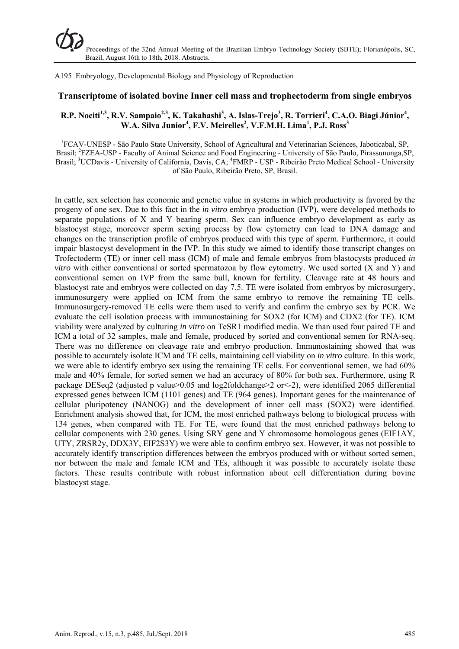A195 Embryology, Developmental Biology and Physiology of Reproduction

#### **Transcriptome of isolated bovine Inner cell mass and trophectoderm from single embryos**

## $R.P.$  Nociti<sup>1,3</sup>, R.V. Sampaio<sup>2,3</sup>, K. Takahashi<sup>3</sup>, A. Islas-Trejo<sup>3</sup>, R. Torrieri<sup>4</sup>, C.A.O. Biagi Júnior<sup>4</sup>, **W.A. Silva Junior<sup>4</sup>, F.V. Meirelles<sup>2</sup>, V.F.M.H. Lima<sup>1</sup>, P.J. Ross<sup>3</sup>**

<sup>1</sup>FCAV-UNESP - São Paulo State University, School of Agricultural and Veterinarian Sciences, Jaboticabal, SP, Brasil; <sup>2</sup>FZEA-USP - Faculty of Animal Science and Food Engineering - University of São Paulo, Pirassununga, SP, Brasil; <sup>3</sup>UCDavis - University of California, Davis, CA; <sup>4</sup>FMRP - USP - Ribeirão Preto Medical School - University of São Paulo, Ribeirão Preto, SP, Brasil.

In cattle, sex selection has economic and genetic value in systems in which productivity is favored by the progeny of one sex. Due to this fact in the *in vitro* embryo production (IVP), were developed methods to separate populations of X and Y bearing sperm. Sex can influence embryo development as early as blastocyst stage, moreover sperm sexing process by flow cytometry can lead to DNA damage and changes on the transcription profile of embryos produced with this type of sperm. Furthermore, it could impair blastocyst development in the IVP. In this study we aimed to identify those transcript changes on Trofectoderm (TE) or inner cell mass (ICM) of male and female embryos from blastocysts produced *in vitro* with either conventional or sorted spermatozoa by flow cytometry. We used sorted (X and Y) and conventional semen on IVP from the same bull, known for fertility. Cleavage rate at 48 hours and blastocyst rate and embryos were collected on day 7.5. TE were isolated from embryos by microsurgery, immunosurgery were applied on ICM from the same embryo to remove the remaining TE cells. Immunosurgery-removed TE cells were them used to verify and confirm the embryo sex by PCR. We evaluate the cell isolation process with immunostaining for SOX2 (for ICM) and CDX2 (for TE). ICM viability were analyzed by culturing *in vitro* on TeSR1 modified media. We than used four paired TE and ICM a total of 32 samples, male and female, produced by sorted and conventional semen for RNA-seq. There was no difference on cleavage rate and embryo production. Immunostaining showed that was possible to accurately isolate ICM and TE cells, maintaining cell viability on *in vitro* culture. In this work, we were able to identify embryo sex using the remaining TE cells. For conventional semen, we had 60% male and 40% female, for sorted semen we had an accuracy of 80% for both sex. Furthermore, using R package DESeq2 (adjusted p value>0.05 and log2foldchange>2 or<-2), were identified 2065 differential expressed genes between ICM (1101 genes) and TE (964 genes). Important genes for the maintenance of cellular pluripotency (NANOG) and the development of inner cell mass (SOX2) were identified. Enrichment analysis showed that, for ICM, the most enriched pathways belong to biological process with 134 genes, when compared with TE. For TE, were found that the most enriched pathways belong to cellular components with 230 genes. Using SRY gene and Y chromosome homologous genes (EIF1AY, UTY, ZRSR2y, DDX3Y, EIF2S3Y) we were able to confirm embryo sex. However, it was not possible to accurately identify transcription differences between the embryos produced with or without sorted semen, nor between the male and female ICM and TEs, although it was possible to accurately isolate these factors. These results contribute with robust information about cell differentiation during bovine blastocyst stage.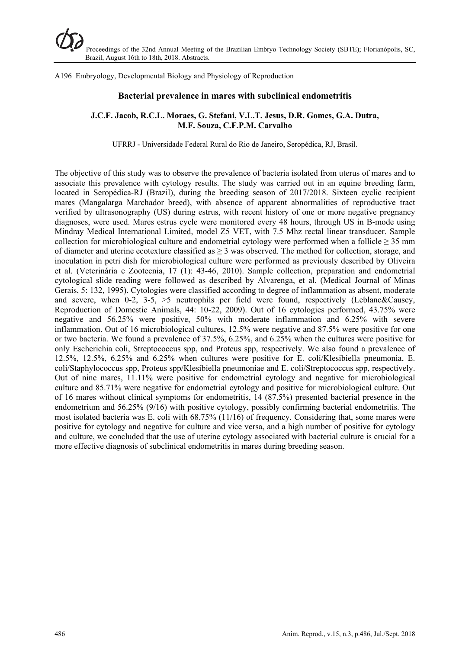A196 Embryology, Developmental Biology and Physiology of Reproduction

#### **Bacterial prevalence in mares with subclinical endometritis**

#### **J.C.F. Jacob, R.C.L. Moraes, G. Stefani, V.L.T. Jesus, D.R. Gomes, G.A. Dutra, M.F. Souza, C.F.P.M. Carvalho**

UFRRJ - Universidade Federal Rural do Rio de Janeiro, Seropédica, RJ, Brasil.

The objective of this study was to observe the prevalence of bacteria isolated from uterus of mares and to associate this prevalence with cytology results. The study was carried out in an equine breeding farm, located in Seropédica-RJ (Brazil), during the breeding season of 2017/2018. Sixteen cyclic recipient mares (Mangalarga Marchador breed), with absence of apparent abnormalities of reproductive tract verified by ultrasonography (US) during estrus, with recent history of one or more negative pregnancy diagnoses, were used. Mares estrus cycle were monitored every 48 hours, through US in B-mode using Mindray Medical International Limited, model Z5 VET, with 7.5 Mhz rectal linear transducer. Sample collection for microbiological culture and endometrial cytology were performed when a follicle  $\geq$  35 mm of diameter and uterine ecotexture classified as  $\geq$  3 was observed. The method for collection, storage, and inoculation in petri dish for microbiological culture were performed as previously described by Oliveira et al. (Veterinária e Zootecnia, 17 (1): 43-46, 2010). Sample collection, preparation and endometrial cytological slide reading were followed as described by Alvarenga, et al. (Medical Journal of Minas Gerais, 5: 132, 1995). Cytologies were classified according to degree of inflammation as absent, moderate and severe, when 0-2,  $3-5$ ,  $>5$  neutrophils per field were found, respectively (Leblanc&Causey, Reproduction of Domestic Animals, 44: 10-22, 2009). Out of 16 cytologies performed, 43.75% were negative and 56.25% were positive, 50% with moderate inflammation and 6.25% with severe inflammation. Out of 16 microbiological cultures, 12.5% were negative and 87.5% were positive for one or two bacteria. We found a prevalence of 37.5%, 6.25%, and 6.25% when the cultures were positive for only Escherichia coli, Streptococcus spp, and Proteus spp, respectively. We also found a prevalence of 12.5%, 12.5%, 6.25% and 6.25% when cultures were positive for E. coli/Klesibiella pneumonia, E. coli/Staphylococcus spp, Proteus spp/Klesibiella pneumoniae and E. coli/Streptococcus spp, respectively. Out of nine mares, 11.11% were positive for endometrial cytology and negative for microbiological culture and 85.71% were negative for endometrial cytology and positive for microbiological culture. Out of 16 mares without clinical symptoms for endometritis, 14 (87.5%) presented bacterial presence in the endometrium and 56.25% (9/16) with positive cytology, possibly confirming bacterial endometritis. The most isolated bacteria was E. coli with 68.75% (11/16) of frequency. Considering that, some mares were positive for cytology and negative for culture and vice versa, and a high number of positive for cytology and culture, we concluded that the use of uterine cytology associated with bacterial culture is crucial for a more effective diagnosis of subclinical endometritis in mares during breeding season.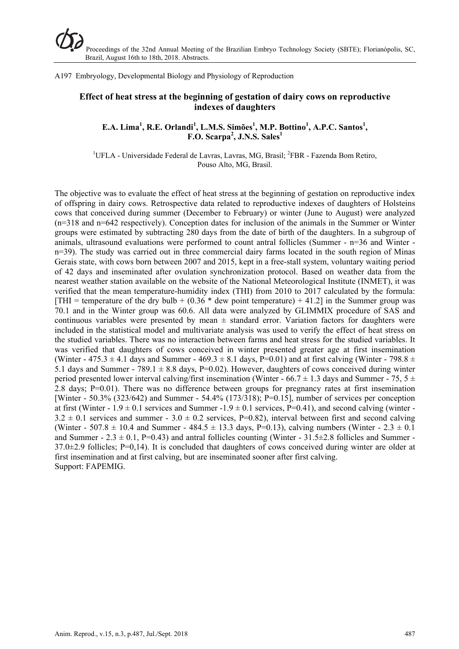A197 Embryology, Developmental Biology and Physiology of Reproduction

# **Effect of heat stress at the beginning of gestation of dairy cows on reproductive indexes of daughters**

## **E.A. Lima<sup>1</sup>, R.E. Orlandi<sup>1</sup>, L.M.S. Simões<sup>1</sup>, M.P. Bottino<sup>1</sup>, A.P.C. Santos<sup>1</sup>, F.O. Scarpa<sup>2</sup> , J.N.S. Sales1**

<sup>1</sup>UFLA - Universidade Federal de Lavras, Lavras, MG, Brasil; <sup>2</sup>FBR - Fazenda Bom Retiro, Pouso Alto, MG, Brasil.

The objective was to evaluate the effect of heat stress at the beginning of gestation on reproductive index of offspring in dairy cows. Retrospective data related to reproductive indexes of daughters of Holsteins cows that conceived during summer (December to February) or winter (June to August) were analyzed (n=318 and n=642 respectively). Conception dates for inclusion of the animals in the Summer or Winter groups were estimated by subtracting 280 days from the date of birth of the daughters. In a subgroup of animals, ultrasound evaluations were performed to count antral follicles (Summer - n=36 and Winter n=39). The study was carried out in three commercial dairy farms located in the south region of Minas Gerais state, with cows born between 2007 and 2015, kept in a free-stall system, voluntary waiting period of 42 days and inseminated after ovulation synchronization protocol. Based on weather data from the nearest weather station available on the website of the National Meteorological Institute (INMET), it was verified that the mean temperature-humidity index (THI) from 2010 to 2017 calculated by the formula: [THI = temperature of the dry bulb +  $(0.36 *$  dew point temperature) + 41.2] in the Summer group was 70.1 and in the Winter group was 60.6. All data were analyzed by GLIMMIX procedure of SAS and continuous variables were presented by mean  $\pm$  standard error. Variation factors for daughters were included in the statistical model and multivariate analysis was used to verify the effect of heat stress on the studied variables. There was no interaction between farms and heat stress for the studied variables. It was verified that daughters of cows conceived in winter presented greater age at first insemination (Winter - 475.3  $\pm$  4.1 days and Summer - 469.3  $\pm$  8.1 days, P=0.01) and at first calving (Winter - 798.8  $\pm$ 5.1 days and Summer - 789.1  $\pm$  8.8 days, P=0.02). However, daughters of cows conceived during winter period presented lower interval calving/first insemination (Winter - 66.7  $\pm$  1.3 days and Summer - 75, 5  $\pm$ 2.8 days; P=0.01). There was no difference between groups for pregnancy rates at first insemination [Winter - 50.3% (323/642) and Summer - 54.4% (173/318); P=0.15], number of services per conception at first (Winter -  $1.9 \pm 0.1$  services and Summer -1.9  $\pm$  0.1 services, P=0.41), and second calving (winter - $3.2 \pm 0.1$  services and summer -  $3.0 \pm 0.2$  services, P=0.82), interval between first and second calving (Winter - 507.8  $\pm$  10.4 and Summer - 484.5  $\pm$  13.3 days, P=0.13), calving numbers (Winter - 2.3  $\pm$  0.1) and Summer -  $2.3 \pm 0.1$ , P=0.43) and antral follicles counting (Winter -  $31.5 \pm 2.8$  follicles and Summer - $37.0\pm2.9$  follicles; P=0,14). It is concluded that daughters of cows conceived during winter are older at first insemination and at first calving, but are inseminated sooner after first calving. Support: FAPEMIG.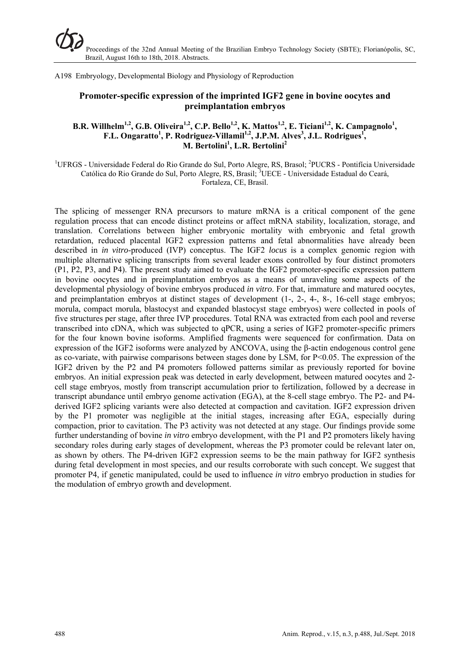A198 Embryology, Developmental Biology and Physiology of Reproduction

# **Promoter-specific expression of the imprinted IGF2 gene in bovine oocytes and preimplantation embryos**

## B.R. Willhelm<sup>1,2</sup>, G.B. Oliveira<sup>1,2</sup>, C.P. Bello<sup>1,2</sup>, K. Mattos<sup>1,2</sup>, E. Ticiani<sup>1,2</sup>, K. Campagnolo<sup>1</sup>, F.L. Ongaratto<sup>1</sup>, P. Rodriguez-Villamil<sup>1,2</sup>, J.P.M. Alves<sup>3</sup>, J.L. Rodrigues<sup>1</sup>, **M. Bertolini1 , L.R. Bertolini<sup>2</sup>**

<sup>1</sup>UFRGS - Universidade Federal do Rio Grande do Sul, Porto Alegre, RS, Brasol; <sup>2</sup>PUCRS - Pontifícia Universidade Católica do Rio Grande do Sul, Porto Alegre, RS, Brasil; <sup>3</sup>UECE - Universidade Estadual do Ceará, Fortaleza, CE, Brasil.

The splicing of messenger RNA precursors to mature mRNA is a critical component of the gene regulation process that can encode distinct proteins or affect mRNA stability, localization, storage, and translation. Correlations between higher embryonic mortality with embryonic and fetal growth retardation, reduced placental IGF2 expression patterns and fetal abnormalities have already been described in *in vitro*-produced (IVP) conceptus. The IGF2 *locus* is a complex genomic region with multiple alternative splicing transcripts from several leader exons controlled by four distinct promoters (P1, P2, P3, and P4). The present study aimed to evaluate the IGF2 promoter-specific expression pattern in bovine oocytes and in preimplantation embryos as a means of unraveling some aspects of the developmental physiology of bovine embryos produced *in vitro*. For that, immature and matured oocytes, and preimplantation embryos at distinct stages of development (1-, 2-, 4-, 8-, 16-cell stage embryos; morula, compact morula, blastocyst and expanded blastocyst stage embryos) were collected in pools of five structures per stage, after three IVP procedures. Total RNA was extracted from each pool and reverse transcribed into cDNA, which was subjected to qPCR, using a series of IGF2 promoter-specific primers for the four known bovine isoforms. Amplified fragments were sequenced for confirmation. Data on expression of the IGF2 isoforms were analyzed by ANCOVA, using the β-actin endogenous control gene as co-variate, with pairwise comparisons between stages done by LSM, for P<0.05. The expression of the IGF2 driven by the P2 and P4 promoters followed patterns similar as previously reported for bovine embryos. An initial expression peak was detected in early development, between matured oocytes and 2 cell stage embryos, mostly from transcript accumulation prior to fertilization, followed by a decrease in transcript abundance until embryo genome activation (EGA), at the 8-cell stage embryo. The P2- and P4 derived IGF2 splicing variants were also detected at compaction and cavitation. IGF2 expression driven by the P1 promoter was negligible at the initial stages, increasing after EGA, especially during compaction, prior to cavitation. The P3 activity was not detected at any stage. Our findings provide some further understanding of bovine *in vitro* embryo development, with the P1 and P2 promoters likely having secondary roles during early stages of development, whereas the P3 promoter could be relevant later on, as shown by others. The P4-driven IGF2 expression seems to be the main pathway for IGF2 synthesis during fetal development in most species, and our results corroborate with such concept. We suggest that promoter P4, if genetic manipulated, could be used to influence *in vitro* embryo production in studies for the modulation of embryo growth and development.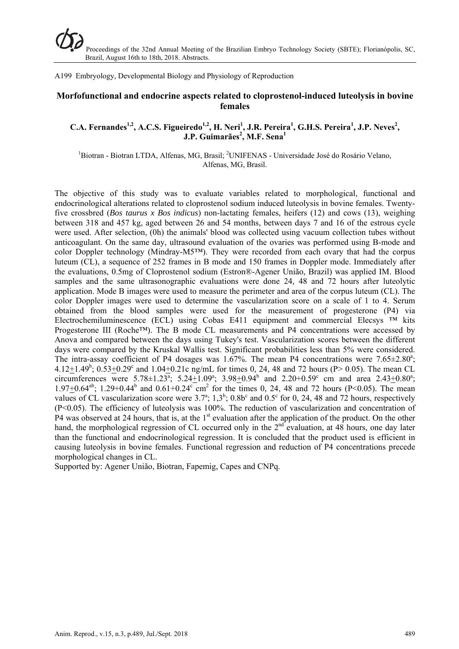A199 Embryology, Developmental Biology and Physiology of Reproduction

## **Morfofunctional and endocrine aspects related to cloprostenol-induced luteolysis in bovine females**

## C.A. Fernandes<sup>1,2</sup>, A.C.S. Figueiredo<sup>1,2</sup>, H. Neri<sup>1</sup>, J.R. Pereira<sup>1</sup>, G.H.S. Pereira<sup>1</sup>, J.P. Neves<sup>2</sup>,  $J.P. Guimarães<sup>2</sup>, M.F. Sena<sup>1</sup>$

<sup>1</sup>Biotran - Biotran LTDA, Alfenas, MG, Brasil; <sup>2</sup>UNIFENAS - Universidade José do Rosário Velano, Alfenas, MG, Brasil.

The objective of this study was to evaluate variables related to morphological, functional and endocrinological alterations related to cloprostenol sodium induced luteolysis in bovine females. Twentyfive crossbred (*Bos taurus x Bos indicus*) non-lactating females, heifers (12) and cows (13), weighing between 318 and 457 kg, aged between 26 and 54 months, between days 7 and 16 of the estrous cycle were used. After selection, (0h) the animals' blood was collected using vacuum collection tubes without anticoagulant. On the same day, ultrasound evaluation of the ovaries was performed using B-mode and color Doppler technology (Mindray-M5™). They were recorded from each ovary that had the corpus luteum (CL), a sequence of 252 frames in B mode and 150 frames in Doppler mode. Immediately after the evaluations, 0.5mg of Cloprostenol sodium (Estron®-Agener União, Brazil) was applied IM. Blood samples and the same ultrasonographic evaluations were done 24, 48 and 72 hours after luteolytic application. Mode B images were used to measure the perimeter and area of the corpus luteum (CL). The color Doppler images were used to determine the vascularization score on a scale of 1 to 4. Serum obtained from the blood samples were used for the measurement of progesterone (P4) via Electrochemiluminescence (ECL) using Cobas E411 equipment and commercial Elecsys  $TM$  kits Progesterone III (Roche™). The B mode CL measurements and P4 concentrations were accessed by Anova and compared between the days using Tukey's test. Vascularization scores between the different days were compared by the Kruskal Wallis test. Significant probabilities less than 5% were considered. The intra-assay coefficient of P4 dosages was 1.67%. The mean P4 concentrations were 7.65 $\pm$ 2.80<sup>a</sup>; 4.12 $\pm$ 1.49<sup>b</sup>; 0.53 $\pm$ 0.29<sup>c</sup> and 1.04 $\pm$ 0.21c ng/mL for times 0, 24, 48 and 72 hours (P> 0.05). The mean CL circumferences were 5.78 $\pm$ 1.23<sup>a</sup>; 5.24 $\pm$ 1.09<sup>a</sup>; 3.98 $\pm$ 0.94<sup>b</sup> and 2.20+0.59<sup>c</sup> cm and area 2.43 $\pm$ 0.80<sup>a</sup>; 1.97 $\pm$ 0.64<sup>ab</sup>; 1.29+0.44<sup>b</sup> and 0.61+0.24<sup>c</sup> cm<sup>2</sup> for the times 0, 24, 48 and 72 hours (P<0.05). The mean values of CL vascularization score were  $3.7^{\circ}$ ;  $1.3^{\circ}$ ;  $0.8b^{\circ}$  and  $0.5^{\circ}$  for 0, 24, 48 and 72 hours, respectively (P<0.05). The efficiency of luteolysis was 100%. The reduction of vascularization and concentration of P4 was observed at 24 hours, that is, at the  $1<sup>st</sup>$  evaluation after the application of the product. On the other hand, the morphological regression of CL occurred only in the  $2<sup>nd</sup>$  evaluation, at 48 hours, one day later than the functional and endocrinological regression. It is concluded that the product used is efficient in causing luteolysis in bovine females. Functional regression and reduction of P4 concentrations precede morphological changes in CL.

Supported by: Agener União, Biotran, Fapemig, Capes and CNPq.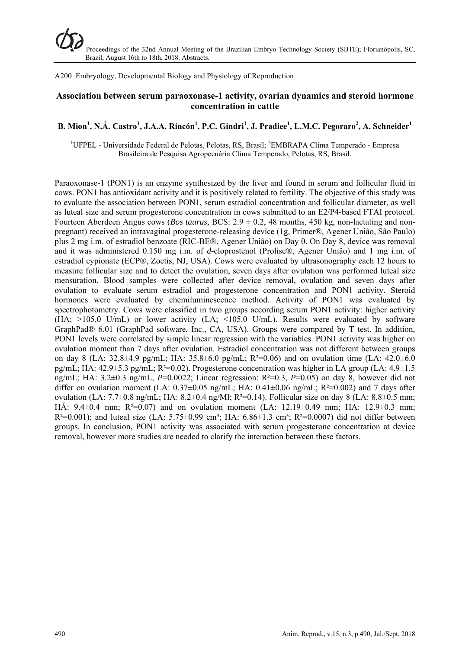A200 Embryology, Developmental Biology and Physiology of Reproduction

#### **Association between serum paraoxonase-1 activity, ovarian dynamics and steroid hormone concentration in cattle**

# **B. Mion<sup>1</sup> , N.Á. Castro<sup>1</sup> , J.A.A. Rincón<sup>1</sup> , P.C. Gindri<sup>1</sup> , J. Pradiee<sup>1</sup> , L.M.C. Pegoraro<sup>2</sup> , A. Schneider1**

<sup>1</sup>UFPEL - Universidade Federal de Pelotas, Pelotas, RS, Brasil; <sup>2</sup>EMBRAPA Clima Temperado - Empresa Brasileira de Pesquisa Agropecuária Clima Temperado, Pelotas, RS, Brasil.

Paraoxonase-1 (PON1) is an enzyme synthesized by the liver and found in serum and follicular fluid in cows. PON1 has antioxidant activity and it is positively related to fertility. The objective of this study was to evaluate the association between PON1, serum estradiol concentration and follicular diameter, as well as luteal size and serum progesterone concentration in cows submitted to an E2/P4-based FTAI protocol. Fourteen Aberdeen Angus cows (*Bos taurus,* BCS: 2.9 ± 0.2, 48 months, 450 kg, non-lactating and nonpregnant) received an intravaginal progesterone-releasing device (1g, Primer®, Agener União, São Paulo) plus 2 mg i.m. of estradiol benzoate (RIC-BE®, Agener União) on Day 0. On Day 8, device was removal and it was administered 0.150 mg i.m. of *d*-cloprostenol (Prolise®, Agener União) and 1 mg i.m. of estradiol cypionate (ECP®, Zoetis, NJ, USA). Cows were evaluated by ultrasonography each 12 hours to measure follicular size and to detect the ovulation, seven days after ovulation was performed luteal size mensuration. Blood samples were collected after device removal, ovulation and seven days after ovulation to evaluate serum estradiol and progesterone concentration and PON1 activity. Steroid hormones were evaluated by chemiluminescence method. Activity of PON1 was evaluated by spectrophotometry. Cows were classified in two groups according serum PON1 activity: higher activity  $(HA; >105.0 \text{ U/mL})$  or lower activity  $(LA; <105.0 \text{ U/mL})$ . Results were evaluated by software GraphPad® 6.01 (GraphPad software, Inc., CA, USA). Groups were compared by T test. In addition, PON1 levels were correlated by simple linear regression with the variables. PON1 activity was higher on ovulation moment than 7 days after ovulation. Estradiol concentration was not different between groups on day 8 (LA:  $32.8\pm4.9$  pg/mL; HA:  $35.8\pm6.0$  pg/mL; R<sup>2=0.06</sup>) and on ovulation time (LA:  $42.0\pm6.0$ pg/mL; HA: 42.9±5.3 pg/mL; R²=0.02). Progesterone concentration was higher in LA group (LA: 4.9±1.5 ng/mL; HA: 3.2±0.3 ng/mL, *P*=0.0022; Linear regression: R²=0.3, *P*=0.05) on day 8, however did not differ on ovulation moment (LA:  $0.37\pm0.05$  ng/mL; HA:  $0.41\pm0.06$  ng/mL; R<sup>2</sup>=0.002) and 7 days after ovulation (LA:  $7.7\pm0.8$  ng/mL; HA:  $8.2\pm0.4$  ng/Ml; R<sup>2</sup>=0.14). Follicular size on day 8 (LA:  $8.8\pm0.5$  mm; HÁ:  $9.4\pm0.4$  mm; R<sup>2</sup>=0.07) and on ovulation moment (LA: 12.19 $\pm$ 0.49 mm; HA: 12.9 $\pm$ 0.3 mm;  $R^2=0.001$ ); and luteal size (LA: 5.75±0.99 cm<sup>3</sup>; HA: 6.86±1.3 cm<sup>3</sup>; R<sup>2=0.0007</sup>) did not differ between groups. In conclusion, PON1 activity was associated with serum progesterone concentration at device removal, however more studies are needed to clarify the interaction between these factors.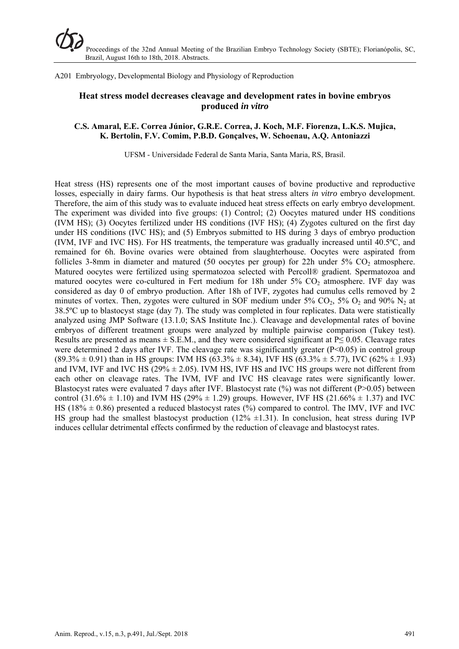A201 Embryology, Developmental Biology and Physiology of Reproduction

## **Heat stress model decreases cleavage and development rates in bovine embryos produced** *in vitro*

#### **C.S. Amaral, E.E. Correa Júnior, G.R.E. Correa, J. Koch, M.F. Fiorenza, L.K.S. Mujica, K. Bertolin, F.V. Comim, P.B.D. Gonçalves, W. Schoenau, A.Q. Antoniazzi**

UFSM - Universidade Federal de Santa Maria, Santa Maria, RS, Brasil.

Heat stress (HS) represents one of the most important causes of bovine productive and reproductive losses, especially in dairy farms. Our hypothesis is that heat stress alters *in vitro* embryo development. Therefore, the aim of this study was to evaluate induced heat stress effects on early embryo development. The experiment was divided into five groups: (1) Control; (2) Oocytes matured under HS conditions (IVM HS); (3) Oocytes fertilized under HS conditions (IVF HS); (4) Zygotes cultured on the first day under HS conditions (IVC HS); and (5) Embryos submitted to HS during 3 days of embryo production (IVM, IVF and IVC HS). For HS treatments, the temperature was gradually increased until 40.5ºC, and remained for 6h. Bovine ovaries were obtained from slaughterhouse. Oocytes were aspirated from follicles 3-8mm in diameter and matured (50 oocytes per group) for 22h under  $5\%$  CO<sub>2</sub> atmosphere. Matured oocytes were fertilized using spermatozoa selected with Percoll® gradient. Spermatozoa and matured oocytes were co-cultured in Fert medium for 18h under 5% CO<sub>2</sub> atmosphere. IVF day was considered as day 0 of embryo production. After 18h of IVF, zygotes had cumulus cells removed by 2 minutes of vortex. Then, zygotes were cultured in SOF medium under  $5\%$  CO<sub>2</sub>,  $5\%$  O<sub>2</sub> and  $90\%$  N<sub>2</sub> at 38.5ºC up to blastocyst stage (day 7). The study was completed in four replicates. Data were statistically analyzed using JMP Software (13.1.0; SAS Institute Inc.). Cleavage and developmental rates of bovine embryos of different treatment groups were analyzed by multiple pairwise comparison (Tukey test). Results are presented as means  $\pm$  S.E.M., and they were considered significant at P $\leq$  0.05. Cleavage rates were determined 2 days after IVF. The cleavage rate was significantly greater (P<0.05) in control group  $(89.3\% \pm 0.91)$  than in HS groups: IVM HS  $(63.3\% \pm 8.34)$ , IVF HS  $(63.3\% \pm 5.77)$ , IVC  $(62\% \pm 1.93)$ and IVM, IVF and IVC HS ( $29\% \pm 2.05$ ). IVM HS, IVF HS and IVC HS groups were not different from each other on cleavage rates. The IVM, IVF and IVC HS cleavage rates were significantly lower. Blastocyst rates were evaluated 7 days after IVF. Blastocyst rate (%) was not different (P>0.05) between control (31.6%  $\pm$  1.10) and IVM HS (29%  $\pm$  1.29) groups. However, IVF HS (21.66%  $\pm$  1.37) and IVC HS (18%  $\pm$  0.86) presented a reduced blastocyst rates (%) compared to control. The IMV, IVF and IVC HS group had the smallest blastocyst production  $(12\% \pm 1.31)$ . In conclusion, heat stress during IVP induces cellular detrimental effects confirmed by the reduction of cleavage and blastocyst rates.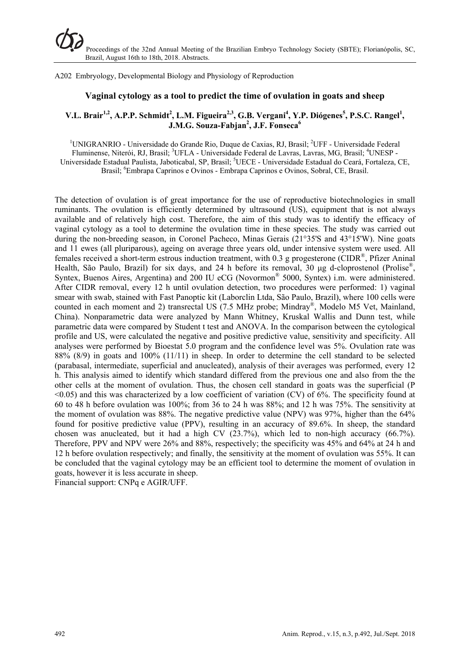A202 Embryology, Developmental Biology and Physiology of Reproduction

#### **Vaginal cytology as a tool to predict the time of ovulation in goats and sheep**

# **V.L. Brair<sup>1,2</sup>, A.P.P. Schmidt<sup>2</sup>, L.M. Figueira<sup>2,3</sup>, G.B. Vergani<sup>4</sup>, Y.P. Diógenes<sup>5</sup>, P.S.C. Rangel<sup>1</sup>, J.M.G. Souza-Fabjan2 , J.F. Fonseca<sup>6</sup>**

<sup>1</sup>UNIGRANRIO - Universidade do Grande Rio, Duque de Caxias, RJ, Brasil; <sup>2</sup>UFF - Universidade Federal Fluminense, Niterói, RJ, Brasil; <sup>3</sup>UFLA - Universidade Federal de Lavras, Lavras, MG, Brasil; <sup>4</sup>UNESP -Universidade Estadual Paulista, Jaboticabal, SP, Brasil; <sup>5</sup>UECE - Universidade Estadual do Ceará, Fortaleza, CE, Brasil; <sup>6</sup>Embrapa Caprinos e Ovinos - Embrapa Caprinos e Ovinos, Sobral, CE, Brasil.

The detection of ovulation is of great importance for the use of reproductive biotechnologies in small ruminants. The ovulation is efficiently determined by ultrasound (US), equipment that is not always available and of relatively high cost. Therefore, the aim of this study was to identify the efficacy of vaginal cytology as a tool to determine the ovulation time in these species. The study was carried out during the non-breeding season, in Coronel Pacheco, Minas Gerais (21°35'S and 43°15'W). Nine goats and 11 ewes (all pluriparous), ageing on average three years old, under intensive system were used. All females received a short-term estrous induction treatment, with  $0.3$  g progesterone (CIDR<sup>®</sup>, Pfizer Aninal Health, São Paulo, Brazil) for six days, and 24 h before its removal, 30 μg d-cloprostenol (Prolise®, Syntex, Buenos Aires, Argentina) and 200 IU eCG (Novormon® 5000, Syntex) i.m. were administered. After CIDR removal, every 12 h until ovulation detection, two procedures were performed: 1) vaginal smear with swab, stained with Fast Panoptic kit (Laborclin Ltda, São Paulo, Brazil), where 100 cells were counted in each moment and 2) transrectal US (7.5 MHz probe; Mindray®, Modelo M5 Vet, Mainland, China). Nonparametric data were analyzed by Mann Whitney, Kruskal Wallis and Dunn test, while parametric data were compared by Student t test and ANOVA. In the comparison between the cytological profile and US, were calculated the negative and positive predictive value, sensitivity and specificity. All analyses were performed by Bioestat 5.0 program and the confidence level was 5%. Ovulation rate was 88% (8/9) in goats and 100% (11/11) in sheep. In order to determine the cell standard to be selected (parabasal, intermediate, superficial and anucleated), analysis of their averages was performed, every 12 h. This analysis aimed to identify which standard differed from the previous one and also from the the other cells at the moment of ovulation. Thus, the chosen cell standard in goats was the superficial (P  $\leq 0.05$ ) and this was characterized by a low coefficient of variation (CV) of 6%. The specificity found at 60 to 48 h before ovulation was 100%; from 36 to 24 h was 88%; and 12 h was 75%. The sensitivity at the moment of ovulation was 88%. The negative predictive value (NPV) was 97%, higher than the 64% found for positive predictive value (PPV), resulting in an accuracy of 89.6%. In sheep, the standard chosen was anucleated, but it had a high CV (23.7%), which led to non-high accuracy (66.7%). Therefore, PPV and NPV were 26% and 88%, respectively; the specificity was 45% and 64% at 24 h and 12 h before ovulation respectively; and finally, the sensitivity at the moment of ovulation was 55%. It can be concluded that the vaginal cytology may be an efficient tool to determine the moment of ovulation in goats, however it is less accurate in sheep. Financial support: CNPq e AGIR/UFF.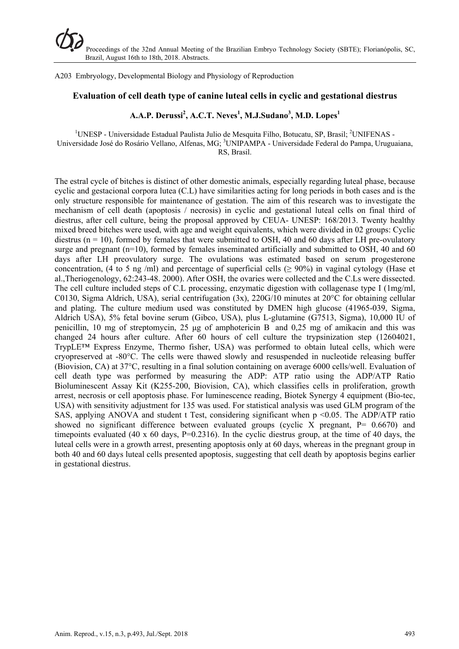A203 Embryology, Developmental Biology and Physiology of Reproduction

#### **Evaluation of cell death type of canine luteal cells in cyclic and gestational diestrus**

# **A.A.P. Derussi<sup>2</sup> , A.C.T. Neves<sup>1</sup> , M.J.Sudano3 , M.D. Lopes<sup>1</sup>**

<sup>1</sup>UNESP - Universidade Estadual Paulista Julio de Mesquita Filho, Botucatu, SP, Brasil; <sup>2</sup>UNIFENAS -Universidade José do Rosário Vellano, Alfenas, MG; <sup>3</sup>UNIPAMPA - Universidade Federal do Pampa, Uruguaiana, RS, Brasil.

The estral cycle of bitches is distinct of other domestic animals, especially regarding luteal phase, because cyclic and gestacional corpora lutea (C.L) have similarities acting for long periods in both cases and is the only structure responsible for maintenance of gestation. The aim of this research was to investigate the mechanism of cell death (apoptosis / necrosis) in cyclic and gestational luteal cells on final third of diestrus, after cell culture, being the proposal approved by CEUA- UNESP: 168/2013. Twenty healthy mixed breed bitches were used, with age and weight equivalents, which were divided in 02 groups: Cyclic diestrus ( $n = 10$ ), formed by females that were submitted to OSH, 40 and 60 days after LH pre-ovulatory surge and pregnant (n=10), formed by females inseminated artificially and submitted to OSH, 40 and 60 days after LH preovulatory surge. The ovulations was estimated based on serum progesterone concentration, (4 to 5 ng /ml) and percentage of superficial cells ( $\geq 90\%$ ) in vaginal cytology (Hase et al.,Theriogenology, 62:243-48. 2000). After OSH, the ovaries were collected and the C.Ls were dissected. The cell culture included steps of C.L processing, enzymatic digestion with collagenase type I (1mg/ml, C0130, Sigma Aldrich, USA), serial centrifugation (3x), 220G/10 minutes at 20°C for obtaining cellular and plating. The culture medium used was constituted by DMEN high glucose (41965-039, Sigma, Aldrich USA), 5% fetal bovine serum (Gibco, USA), plus L-glutamine (G7513, Sigma), 10,000 IU of penicillin, 10 mg of streptomycin, 25 μg of amphotericin B and 0,25 mg of amikacin and this was changed 24 hours after culture. After 60 hours of cell culture the trypsinization step (12604021, TrypLE™ Express Enzyme, Thermo fisher, USA) was performed to obtain luteal cells, which were cryopreserved at -80°C. The cells were thawed slowly and resuspended in nucleotide releasing buffer (Biovision, CA) at 37°C, resulting in a final solution containing on average 6000 cells/well. Evaluation of cell death type was performed by measuring the ADP: ATP ratio using the ADP/ATP Ratio Bioluminescent Assay Kit (K255-200, Biovision, CA), which classifies cells in proliferation, growth arrest, necrosis or cell apoptosis phase. For luminescence reading, Biotek Synergy 4 equipment (Bio-tec, USA) with sensitivity adjustment for 135 was used. For statistical analysis was used GLM program of the SAS, applying ANOVA and student  $t$  Test, considering significant when  $p \le 0.05$ . The ADP/ATP ratio showed no significant difference between evaluated groups (cyclic X pregnant, P= 0.6670) and timepoints evaluated (40 x 60 days,  $P=0.2316$ ). In the cyclic diestrus group, at the time of 40 days, the luteal cells were in a growth arrest, presenting apoptosis only at 60 days, whereas in the pregnant group in both 40 and 60 days luteal cells presented apoptosis, suggesting that cell death by apoptosis begins earlier in gestational diestrus.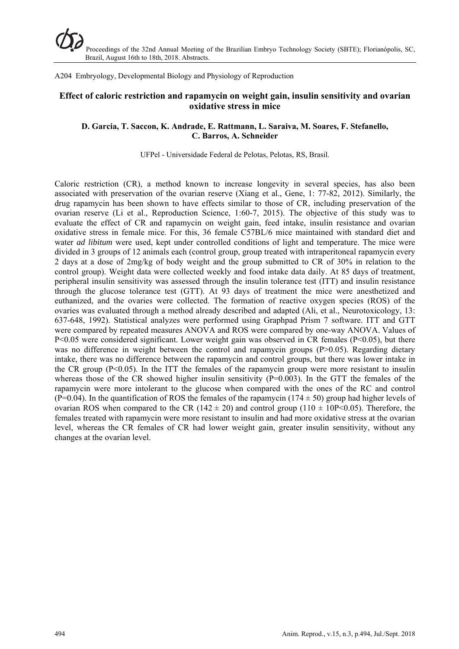A204 Embryology, Developmental Biology and Physiology of Reproduction

## **Effect of caloric restriction and rapamycin on weight gain, insulin sensitivity and ovarian oxidative stress in mice**

#### **D. Garcia, T. Saccon, K. Andrade, E. Rattmann, L. Saraiva, M. Soares, F. Stefanello, C. Barros, A. Schneider**

#### UFPel - Universidade Federal de Pelotas, Pelotas, RS, Brasil.

Caloric restriction (CR), a method known to increase longevity in several species, has also been associated with preservation of the ovarian reserve (Xiang et al., Gene, 1: 77-82, 2012). Similarly, the drug rapamycin has been shown to have effects similar to those of CR, including preservation of the ovarian reserve (Li et al., Reproduction Science, 1:60-7, 2015). The objective of this study was to evaluate the effect of CR and rapamycin on weight gain, feed intake, insulin resistance and ovarian oxidative stress in female mice. For this, 36 female C57BL/6 mice maintained with standard diet and water *ad libitum* were used, kept under controlled conditions of light and temperature. The mice were divided in 3 groups of 12 animals each (control group, group treated with intraperitoneal rapamycin every 2 days at a dose of 2mg/kg of body weight and the group submitted to CR of 30% in relation to the control group). Weight data were collected weekly and food intake data daily. At 85 days of treatment, peripheral insulin sensitivity was assessed through the insulin tolerance test (ITT) and insulin resistance through the glucose tolerance test (GTT). At 93 days of treatment the mice were anesthetized and euthanized, and the ovaries were collected. The formation of reactive oxygen species (ROS) of the ovaries was evaluated through a method already described and adapted (Ali, et al., Neurotoxicology, 13: 637-648, 1992). Statistical analyzes were performed using Graphpad Prism 7 software. ITT and GTT were compared by repeated measures ANOVA and ROS were compared by one-way ANOVA. Values of P<0.05 were considered significant. Lower weight gain was observed in CR females (P<0.05), but there was no difference in weight between the control and rapamycin groups (P>0.05). Regarding dietary intake, there was no difference between the rapamycin and control groups, but there was lower intake in the CR group  $(P<0.05)$ . In the ITT the females of the rapamycin group were more resistant to insulin whereas those of the CR showed higher insulin sensitivity  $(P=0.003)$ . In the GTT the females of the rapamycin were more intolerant to the glucose when compared with the ones of the RC and control (P=0.04). In the quantification of ROS the females of the rapamycin (174  $\pm$  50) group had higher levels of ovarian ROS when compared to the CR (142  $\pm$  20) and control group (110  $\pm$  10P<0.05). Therefore, the females treated with rapamycin were more resistant to insulin and had more oxidative stress at the ovarian level, whereas the CR females of CR had lower weight gain, greater insulin sensitivity, without any changes at the ovarian level.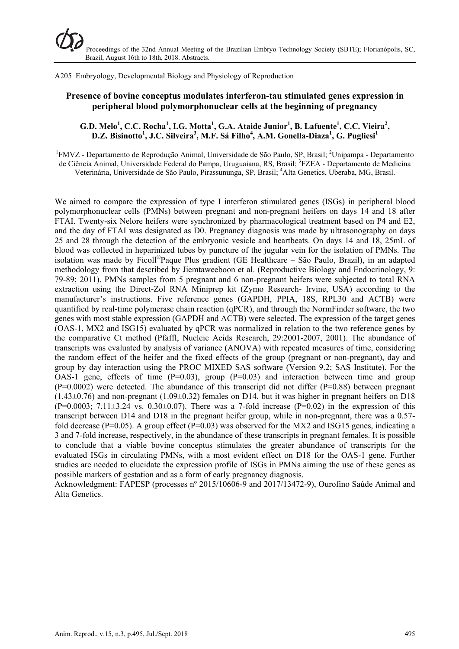A205 Embryology, Developmental Biology and Physiology of Reproduction

# **Presence of bovine conceptus modulates interferon-tau stimulated genes expression in peripheral blood polymorphonuclear cells at the beginning of pregnancy**

## $G.D. Melo<sup>1</sup>, C.C. Rocha<sup>1</sup>, I.G. Motta<sup>1</sup>, G.A. Ataide Junior<sup>1</sup>, B. Lafuente<sup>1</sup>, C.C. Vieira<sup>2</sup>,$ **D.Z. Bisinotto<sup>1</sup> , J.C. Silveira<sup>3</sup> , M.F. Sá Filho<sup>4</sup> , A.M. Gonella-Diaza<sup>1</sup> , G. Pugliesi<sup>1</sup>**

<sup>1</sup>FMVZ - Departamento de Reprodução Animal, Universidade de São Paulo, SP, Brasil; <sup>2</sup>Unipampa - Departamento de Ciência Animal, Universidade Federal do Pampa, Uruguaiana, RS, Brasil; <sup>3</sup>FZEA - Departamento de Medicina Veterinária, Universidade de São Paulo, Pirassununga, SP, Brasil; <sup>4</sup> Alta Genetics, Uberaba, MG, Brasil.

We aimed to compare the expression of type I interferon stimulated genes (ISGs) in peripheral blood polymorphonuclear cells (PMNs) between pregnant and non-pregnant heifers on days 14 and 18 after FTAI. Twenty-six Nelore heifers were synchronized by pharmacological treatment based on P4 and E2, and the day of FTAI was designated as D0. Pregnancy diagnosis was made by ultrasonography on days 25 and 28 through the detection of the embryonic vesicle and heartbeats. On days 14 and 18, 25mL of blood was collected in heparinized tubes by puncture of the jugular vein for the isolation of PMNs. The isolation was made by Ficoll<sup>®</sup>Paque Plus gradient (GE Healthcare  $-$  São Paulo, Brazil), in an adapted methodology from that described by Jiemtaweeboon et al. (Reproductive Biology and Endocrinology, 9: 79-89; 2011). PMNs samples from 5 pregnant and 6 non-pregnant heifers were subjected to total RNA extraction using the Direct-Zol RNA Miniprep kit (Zymo Research- Irvine, USA) according to the manufacturer's instructions. Five reference genes (GAPDH, PPIA, 18S, RPL30 and ACTB) were quantified by real-time polymerase chain reaction (qPCR), and through the NormFinder software, the two genes with most stable expression (GAPDH and ACTB) were selected. The expression of the target genes (OAS-1, MX2 and ISG15) evaluated by qPCR was normalized in relation to the two reference genes by the comparative Ct method (Pfaffl, Nucleic Acids Research, 29:2001-2007, 2001). The abundance of transcripts was evaluated by analysis of variance (ANOVA) with repeated measures of time, considering the random effect of the heifer and the fixed effects of the group (pregnant or non-pregnant), day and group by day interaction using the PROC MIXED SAS software (Version 9.2; SAS Institute). For the OAS-1 gene, effects of time  $(P=0.03)$ , group  $(P=0.03)$  and interaction between time and group  $(P=0.0002)$  were detected. The abundance of this transcript did not differ  $(P=0.88)$  between pregnant  $(1.43\pm0.76)$  and non-pregnant  $(1.09\pm0.32)$  females on D14, but it was higher in pregnant heifers on D18  $(P=0.0003; 7.11\pm3.24 \text{ vs. } 0.30\pm0.07)$ . There was a 7-fold increase  $(P=0.02)$  in the expression of this transcript between D14 and D18 in the pregnant heifer group, while in non-pregnant, there was a 0.57 fold decrease (P=0.05). A group effect (P=0.03) was observed for the MX2 and ISG15 genes, indicating a 3 and 7-fold increase, respectively, in the abundance of these transcripts in pregnant females. It is possible to conclude that a viable bovine conceptus stimulates the greater abundance of transcripts for the evaluated ISGs in circulating PMNs, with a most evident effect on D18 for the OAS-1 gene. Further studies are needed to elucidate the expression profile of ISGs in PMNs aiming the use of these genes as possible markers of gestation and as a form of early pregnancy diagnosis.

Acknowledgment: FAPESP (processes nº 2015/10606-9 and 2017/13472-9), Ourofino Saúde Animal and Alta Genetics.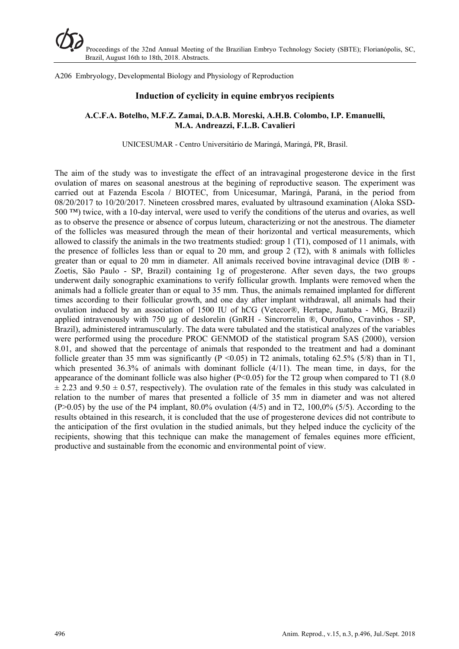A206 Embryology, Developmental Biology and Physiology of Reproduction

#### **Induction of cyclicity in equine embryos recipients**

#### **A.C.F.A. Botelho, M.F.Z. Zamai, D.A.B. Moreski, A.H.B. Colombo, I.P. Emanuelli, M.A. Andreazzi, F.L.B. Cavalieri**

UNICESUMAR - Centro Universitário de Maringá, Maringá, PR, Brasil.

The aim of the study was to investigate the effect of an intravaginal progesterone device in the first ovulation of mares on seasonal anestrous at the begining of reproductive season. The experiment was carried out at Fazenda Escola / BIOTEC, from Unicesumar, Maringá, Paraná, in the period from 08/20/2017 to 10/20/2017. Nineteen crossbred mares, evaluated by ultrasound examination (Aloka SSD-500 ™) twice, with a 10-day interval, were used to verify the conditions of the uterus and ovaries, as well as to observe the presence or absence of corpus luteum, characterizing or not the anestrous. The diameter of the follicles was measured through the mean of their horizontal and vertical measurements, which allowed to classify the animals in the two treatments studied: group 1 (T1), composed of 11 animals, with the presence of follicles less than or equal to 20 mm, and group 2 (T2), with 8 animals with follicles greater than or equal to 20 mm in diameter. All animals received bovine intravaginal device (DIB ® - Zoetis, São Paulo - SP, Brazil) containing 1g of progesterone. After seven days, the two groups underwent daily sonographic examinations to verify follicular growth. Implants were removed when the animals had a follicle greater than or equal to 35 mm. Thus, the animals remained implanted for different times according to their follicular growth, and one day after implant withdrawal, all animals had their ovulation induced by an association of 1500 IU of hCG (Vetecor®, Hertape, Juatuba - MG, Brazil) applied intravenously with 750 μg of deslorelin (GnRH - Sincrorrelin ®, Ourofino, Cravinhos - SP, Brazil), administered intramuscularly. The data were tabulated and the statistical analyzes of the variables were performed using the procedure PROC GENMOD of the statistical program SAS (2000), version 8.01, and showed that the percentage of animals that responded to the treatment and had a dominant follicle greater than 35 mm was significantly ( $P \le 0.05$ ) in T2 animals, totaling 62.5% (5/8) than in T1, which presented 36.3% of animals with dominant follicle (4/11). The mean time, in days, for the appearance of the dominant follicle was also higher ( $P<0.05$ ) for the T2 group when compared to T1 (8.0)  $\pm$  2.23 and 9.50  $\pm$  0.57, respectively). The ovulation rate of the females in this study was calculated in relation to the number of mares that presented a follicle of 35 mm in diameter and was not altered  $(P>0.05)$  by the use of the P4 implant, 80.0% ovulation  $(4/5)$  and in T2, 100,0% (5/5). According to the results obtained in this research, it is concluded that the use of progesterone devices did not contribute to the anticipation of the first ovulation in the studied animals, but they helped induce the cyclicity of the recipients, showing that this technique can make the management of females equines more efficient, productive and sustainable from the economic and environmental point of view.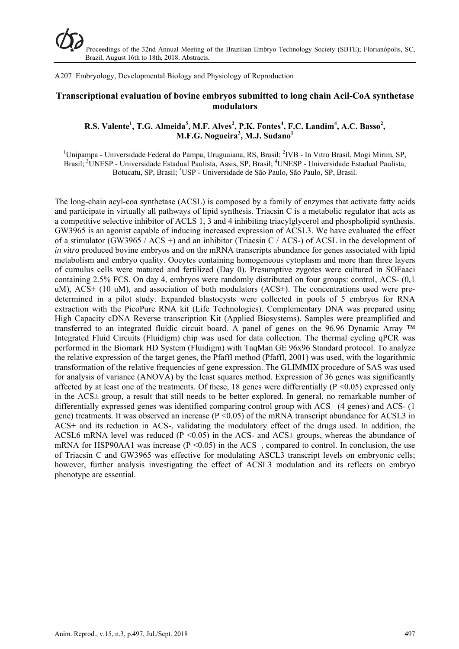A207 Embryology, Developmental Biology and Physiology of Reproduction

## **Transcriptional evaluation of bovine embryos submitted to long chain Acil-CoA synthetase modulators**

## **R.S. Valente<sup>1</sup>, T.G. Almeida<sup>5</sup>, M.F. Alves<sup>2</sup>, P.K. Fontes<sup>4</sup>, F.C. Landim<sup>4</sup>, A.C. Basso<sup>2</sup>, M.F.G. Nogueira<sup>3</sup> , M.J. Sudano1**

<sup>1</sup>Unipampa - Universidade Federal do Pampa, Uruguaiana, RS, Brasil; <sup>2</sup>IVB - In Vitro Brasil, Mogi Mirim, SP, Brasil; <sup>3</sup>UNESP - Universidade Estadual Paulista, Assis, SP, Brasil; <sup>4</sup>UNESP - Universidade Estadual Paulista, Botucatu, SP, Brasil; <sup>5</sup>USP - Universidade de São Paulo, São Paulo, SP, Brasil.

The long-chain acyl-coa synthetase (ACSL) is composed by a family of enzymes that activate fatty acids and participate in virtually all pathways of lipid synthesis. Triacsin C is a metabolic regulator that acts as a competitive selective inhibitor of ACLS 1, 3 and 4 inhibiting triacylglycerol and phospholipid synthesis. GW3965 is an agonist capable of inducing increased expression of ACSL3. We have evaluated the effect of a stimulator (GW3965 / ACS +) and an inhibitor (Triacsin C / ACS-) of ACSL in the development of *in vitro* produced bovine embryos and on the mRNA transcripts abundance for genes associated with lipid metabolism and embryo quality. Oocytes containing homogeneous cytoplasm and more than three layers of cumulus cells were matured and fertilized (Day 0). Presumptive zygotes were cultured in SOFaaci containing 2.5% FCS. On day 4, embryos were randomly distributed on four groups: control, ACS- (0,1 uM), ACS+ (10 uM), and association of both modulators (ACS $\pm$ ). The concentrations used were predetermined in a pilot study. Expanded blastocysts were collected in pools of 5 embryos for RNA extraction with the PicoPure RNA kit (Life Technologies). Complementary DNA was prepared using High Capacity cDNA Reverse transcription Kit (Applied Biosystems). Samples were preamplified and transferred to an integrated fluidic circuit board. A panel of genes on the 96.96 Dynamic Array ™ Integrated Fluid Circuits (Fluidigm) chip was used for data collection. The thermal cycling qPCR was performed in the Biomark HD System (Fluidigm) with TaqMan GE 96x96 Standard protocol. To analyze the relative expression of the target genes, the Pfaffl method (Pfaffl, 2001) was used, with the logarithmic transformation of the relative frequencies of gene expression. The GLIMMIX procedure of SAS was used for analysis of variance (ANOVA) by the least squares method. Expression of 36 genes was significantly affected by at least one of the treatments. Of these, 18 genes were differentially ( $P \le 0.05$ ) expressed only in the ACS± group, a result that still needs to be better explored. In general, no remarkable number of differentially expressed genes was identified comparing control group with ACS+ (4 genes) and ACS- (1 gene) treatments. It was observed an increase  $(P \le 0.05)$  of the mRNA transcript abundance for ACSL3 in ACS+ and its reduction in ACS-, validating the modulatory effect of the drugs used. In addition, the ACSL6 mRNA level was reduced ( $P \le 0.05$ ) in the ACS- and ACS $\pm$  groups, whereas the abundance of mRNA for HSP90AA1 was increase ( $P \le 0.05$ ) in the ACS+, compared to control. In conclusion, the use of Triacsin C and GW3965 was effective for modulating ASCL3 transcript levels on embryonic cells; however, further analysis investigating the effect of ACSL3 modulation and its reflects on embryo phenotype are essential.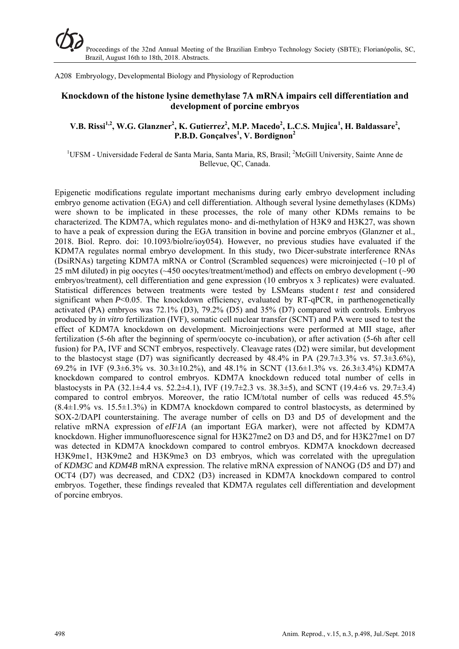A208 Embryology, Developmental Biology and Physiology of Reproduction

# **Knockdown of the histone lysine demethylase 7A mRNA impairs cell differentiation and development of porcine embryos**

## $V.B. Rissi<sup>1,2</sup>, W.G. Glanzner<sup>2</sup>, K. Gutierrez<sup>2</sup>, M.P. Macedo<sup>2</sup>, L.C.S. Mujica<sup>1</sup>, H. Baldassare<sup>2</sup>,$ **P.B.D. Gonçalves<sup>1</sup> , V. Bordignon2**

<sup>1</sup>UFSM - Universidade Federal de Santa Maria, Santa Maria, RS, Brasil; <sup>2</sup>McGill University, Sainte Anne de Bellevue, QC, Canada.

Epigenetic modifications regulate important mechanisms during early embryo development including embryo genome activation (EGA) and cell differentiation. Although several lysine demethylases (KDMs) were shown to be implicated in these processes, the role of many other KDMs remains to be characterized. The KDM7A, which regulates mono- and di-methylation of H3K9 and H3K27, was shown to have a peak of expression during the EGA transition in bovine and porcine embryos (Glanzner et al., 2018. Biol. Repro. doi: 10.1093/biolre/ioy054). However, no previous studies have evaluated if the KDM7A regulates normal embryo development. In this study, two Dicer-substrate interference RNAs (DsiRNAs) targeting KDM7A mRNA or Control (Scrambled sequences) were microinjected (~10 pl of 25 mM diluted) in pig oocytes (~450 oocytes/treatment/method) and effects on embryo development (~90 embryos/treatment), cell differentiation and gene expression (10 embryos x 3 replicates) were evaluated. Statistical differences between treatments were tested by LSMeans student *t test* and considered significant when *P*<0.05. The knockdown efficiency, evaluated by RT-qPCR, in parthenogenetically activated (PA) embryos was 72.1% (D3), 79.2% (D5) and 35% (D7) compared with controls. Embryos produced by *in vitro* fertilization (IVF), somatic cell nuclear transfer (SCNT) and PA were used to test the effect of KDM7A knockdown on development. Microinjections were performed at MII stage, after fertilization (5-6h after the beginning of sperm/oocyte co-incubation), or after activation (5-6h after cell fusion) for PA, IVF and SCNT embryos, respectively. Cleavage rates (D2) were similar, but development to the blastocyst stage (D7) was significantly decreased by  $48.4\%$  in PA (29.7 $\pm$ 3.3% vs. 57.3 $\pm$ 3.6%), 69.2% in IVF (9.3±6.3% vs. 30.3±10.2%), and 48.1% in SCNT (13.6±1.3% vs. 26.3±3.4%) KDM7A knockdown compared to control embryos. KDM7A knockdown reduced total number of cells in blastocysts in PA (32.1±4.4 vs. 52.2±4.1), IVF (19.7±2.3 vs. 38.3±5), and SCNT (19.4±6 vs. 29.7±3.4) compared to control embryos. Moreover, the ratio ICM/total number of cells was reduced 45.5%  $(8.4\pm1.9\%$  vs. 15.5 $\pm1.3\%$ ) in KDM7A knockdown compared to control blastocysts, as determined by SOX-2/DAPI counterstaining. The average number of cells on D3 and D5 of development and the relative mRNA expression of *eIF1A* (an important EGA marker), were not affected by KDM7A knockdown. Higher immunofluorescence signal for H3K27me2 on D3 and D5, and for H3K27me1 on D7 was detected in KDM7A knockdown compared to control embryos. KDM7A knockdown decreased H3K9me1, H3K9me2 and H3K9me3 on D3 embryos, which was correlated with the upregulation of *KDM3C* and *KDM4B* mRNA expression. The relative mRNA expression of NANOG (D5 and D7) and OCT4 (D7) was decreased, and CDX2 (D3) increased in KDM7A knockdown compared to control embryos. Together, these findings revealed that KDM7A regulates cell differentiation and development of porcine embryos.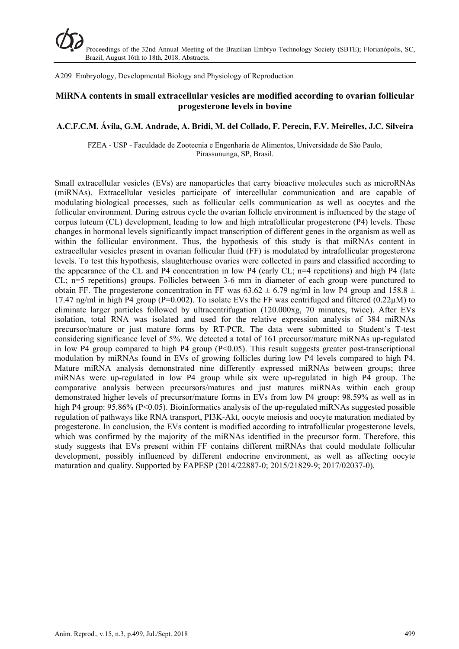A209 Embryology, Developmental Biology and Physiology of Reproduction

# **MiRNA contents in small extracellular vesicles are modified according to ovarian follicular progesterone levels in bovine**

#### **A.C.F.C.M. Ávila, G.M. Andrade, A. Bridi, M. del Collado, F. Perecin, F.V. Meirelles, J.C. Silveira**

FZEA - USP - Faculdade de Zootecnia e Engenharia de Alimentos, Universidade de São Paulo, Pirassununga, SP, Brasil.

Small extracellular vesicles (EVs) are nanoparticles that carry bioactive molecules such as microRNAs (miRNAs). Extracellular vesicles participate of intercellular communication and are capable of modulating biological processes, such as follicular cells communication as well as oocytes and the follicular environment. During estrous cycle the ovarian follicle environment is influenced by the stage of corpus luteum (CL) development, leading to low and high intrafollicular progesterone (P4) levels. These changes in hormonal levels significantly impact transcription of different genes in the organism as well as within the follicular environment. Thus, the hypothesis of this study is that miRNAs content in extracellular vesicles present in ovarian follicular fluid (FF) is modulated by intrafollicular progesterone levels. To test this hypothesis, slaughterhouse ovaries were collected in pairs and classified according to the appearance of the CL and P4 concentration in low P4 (early CL;  $n=4$  repetitions) and high P4 (late CL; n=5 repetitions) groups. Follicles between 3-6 mm in diameter of each group were punctured to obtain FF. The progesterone concentration in FF was  $63.62 \pm 6.79$  ng/ml in low P4 group and 158.8  $\pm$ 17.47 ng/ml in high P4 group (P=0.002). To isolate EVs the FF was centrifuged and filtered (0.22 $\mu$ M) to eliminate larger particles followed by ultracentrifugation (120.000xg, 70 minutes, twice). After EVs isolation, total RNA was isolated and used for the relative expression analysis of 384 miRNAs precursor/mature or just mature forms by RT-PCR. The data were submitted to Student's T-test considering significance level of 5%. We detected a total of 161 precursor/mature miRNAs up-regulated in low P4 group compared to high P4 group  $(P<0.05)$ . This result suggests greater post-transcriptional modulation by miRNAs found in EVs of growing follicles during low P4 levels compared to high P4. Mature miRNA analysis demonstrated nine differently expressed miRNAs between groups; three miRNAs were up-regulated in low P4 group while six were up-regulated in high P4 group. The comparative analysis between precursors/matures and just matures miRNAs within each group demonstrated higher levels of precursor/mature forms in EVs from low P4 group: 98.59% as well as in high P4 group: 95.86% (P<0.05). Bioinformatics analysis of the up-regulated miRNAs suggested possible regulation of pathways like RNA transport, PI3K-Akt, oocyte meiosis and oocyte maturation mediated by progesterone. In conclusion, the EVs content is modified according to intrafollicular progesterone levels, which was confirmed by the majority of the miRNAs identified in the precursor form. Therefore, this study suggests that EVs present within FF contains different miRNAs that could modulate follicular development, possibly influenced by different endocrine environment, as well as affecting oocyte maturation and quality. Supported by FAPESP (2014/22887-0; 2015/21829-9; 2017/02037-0).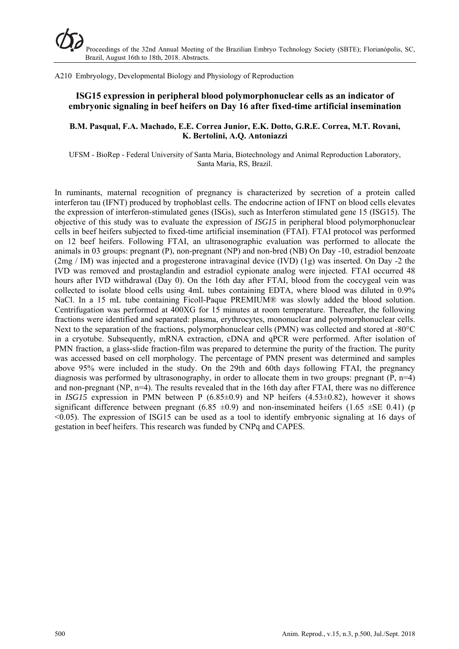A210 Embryology, Developmental Biology and Physiology of Reproduction

# **ISG15 expression in peripheral blood polymorphonuclear cells as an indicator of embryonic signaling in beef heifers on Day 16 after fixed-time artificial insemination**

#### **B.M. Pasqual, F.A. Machado, E.E. Correa Junior, E.K. Dotto, G.R.E. Correa, M.T. Rovani, K. Bertolini, A.Q. Antoniazzi**

UFSM - BioRep - Federal University of Santa Maria, Biotechnology and Animal Reproduction Laboratory, Santa Maria, RS, Brazil.

In ruminants, maternal recognition of pregnancy is characterized by secretion of a protein called interferon tau (IFNT) produced by trophoblast cells. The endocrine action of IFNT on blood cells elevates the expression of interferon-stimulated genes (ISGs), such as Interferon stimulated gene 15 (ISG15). The objective of this study was to evaluate the expression of *ISG15* in peripheral blood polymorphonuclear cells in beef heifers subjected to fixed-time artificial insemination (FTAI). FTAI protocol was performed on 12 beef heifers. Following FTAI, an ultrasonographic evaluation was performed to allocate the animals in 03 groups: pregnant (P), non-pregnant (NP) and non-bred (NB) On Day -10, estradiol benzoate (2mg / IM) was injected and a progesterone intravaginal device (IVD) (1g) was inserted. On Day -2 the IVD was removed and prostaglandin and estradiol cypionate analog were injected. FTAI occurred 48 hours after IVD withdrawal (Day 0). On the 16th day after FTAI, blood from the coccygeal vein was collected to isolate blood cells using 4mL tubes containing EDTA, where blood was diluted in 0.9% NaCl. In a 15 mL tube containing Ficoll-Paque PREMIUM® was slowly added the blood solution. Centrifugation was performed at 400XG for 15 minutes at room temperature. Thereafter, the following fractions were identified and separated: plasma, erythrocytes, mononuclear and polymorphonuclear cells. Next to the separation of the fractions, polymorphonuclear cells (PMN) was collected and stored at -80°C in a cryotube. Subsequently, mRNA extraction, cDNA and qPCR were performed. After isolation of PMN fraction, a glass-slide fraction-film was prepared to determine the purity of the fraction. The purity was accessed based on cell morphology. The percentage of PMN present was determined and samples above 95% were included in the study. On the 29th and 60th days following FTAI, the pregnancy diagnosis was performed by ultrasonography, in order to allocate them in two groups: pregnant  $(P, n=4)$ and non-pregnant (NP,  $n=4$ ). The results revealed that in the 16th day after FTAI, there was no difference in *ISG15* expression in PMN between P (6.85±0.9) and NP heifers (4.53±0.82), however it shows significant difference between pregnant  $(6.85 \pm 0.9)$  and non-inseminated heifers  $(1.65 \pm SE 0.41)$  (p <0.05). The expression of ISG15 can be used as a tool to identify embryonic signaling at 16 days of gestation in beef heifers. This research was funded by CNPq and CAPES.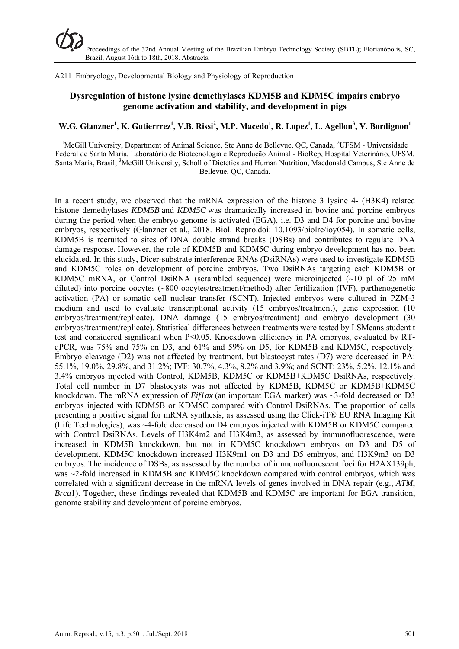A211 Embryology, Developmental Biology and Physiology of Reproduction

# **Dysregulation of histone lysine demethylases KDM5B and KDM5C impairs embryo genome activation and stability, and development in pigs**

# $W.G. Glanzner<sup>1</sup>, K. Gutierrrez<sup>1</sup>, V.B. Rissi<sup>2</sup>, M.P. Macedo<sup>1</sup>, R. Lopez<sup>1</sup>, L. Agellon<sup>3</sup>, V. Bordignon<sup>1</sup>$

<sup>1</sup>McGill University, Department of Animal Science, Ste Anne de Bellevue, QC, Canada; <sup>2</sup>UFSM - Universidade Federal de Santa Maria, Laboratório de Biotecnologia e Reprodução Animal - BioRep, Hospital Veterinário, UFSM, Santa Maria, Brasil; <sup>3</sup>McGill University, Scholl of Dietetics and Human Nutrition, Macdonald Campus, Ste Anne de Bellevue, QC, Canada.

In a recent study, we observed that the mRNA expression of the histone 3 lysine 4- (H3K4) related histone demethylases *KDM5B* and *KDM5C* was dramatically increased in bovine and porcine embryos during the period when the embryo genome is activated (EGA), i.e. D3 and D4 for porcine and bovine embryos, respectively (Glanzner et al., 2018. Biol. Repro.doi: 10.1093/biolre/ioy054). In somatic cells, KDM5B is recruited to sites of DNA double strand breaks (DSBs) and contributes to regulate DNA damage response. However, the role of KDM5B and KDM5C during embryo development has not been elucidated. In this study, Dicer-substrate interference RNAs (DsiRNAs) were used to investigate KDM5B and KDM5C roles on development of porcine embryos. Two DsiRNAs targeting each KDM5B or KDM5C mRNA, or Control DsiRNA (scrambled sequence) were microinjected  $(\sim]0$  pl of 25 mM diluted) into porcine oocytes (~800 oocytes/treatment/method) after fertilization (IVF), parthenogenetic activation (PA) or somatic cell nuclear transfer (SCNT). Injected embryos were cultured in PZM-3 medium and used to evaluate transcriptional activity (15 embryos/treatment), gene expression (10 embryos/treatment/replicate), DNA damage (15 embryos/treatment) and embryo development (30 embryos/treatment/replicate). Statistical differences between treatments were tested by LSMeans student t test and considered significant when P<0.05. Knockdown efficiency in PA embryos, evaluated by RTqPCR, was 75% and 75% on D3, and 61% and 59% on D5, for KDM5B and KDM5C, respectively. Embryo cleavage (D2) was not affected by treatment, but blastocyst rates (D7) were decreased in PA: 55.1%, 19.0%, 29.8%, and 31.2%; IVF: 30.7%, 4.3%, 8.2% and 3.9%; and SCNT: 23%, 5.2%, 12.1% and 3.4% embryos injected with Control, KDM5B, KDM5C or KDM5B+KDM5C DsiRNAs, respectively. Total cell number in D7 blastocysts was not affected by KDM5B, KDM5C or KDM5B+KDM5C knockdown. The mRNA expression of *Eif1ax* (an important EGA marker) was ~3-fold decreased on D3 embryos injected with KDM5B or KDM5C compared with Control DsiRNAs. The proportion of cells presenting a positive signal for mRNA synthesis, as assessed using the Click-iT® EU RNA Imaging Kit (Life Technologies), was ~4-fold decreased on D4 embryos injected with KDM5B or KDM5C compared with Control DsiRNAs. Levels of H3K4m2 and H3K4m3, as assessed by immunofluorescence, were increased in KDM5B knockdown, but not in KDM5C knockdown embryos on D3 and D5 of development. KDM5C knockdown increased H3K9m1 on D3 and D5 embryos, and H3K9m3 on D3 embryos. The incidence of DSBs, as assessed by the number of immunofluorescent foci for H2AX139ph, was ~2-fold increased in KDM5B and KDM5C knockdown compared with control embryos, which was correlated with a significant decrease in the mRNA levels of genes involved in DNA repair (e.g., *ATM*, *Brca*1). Together, these findings revealed that KDM5B and KDM5C are important for EGA transition, genome stability and development of porcine embryos.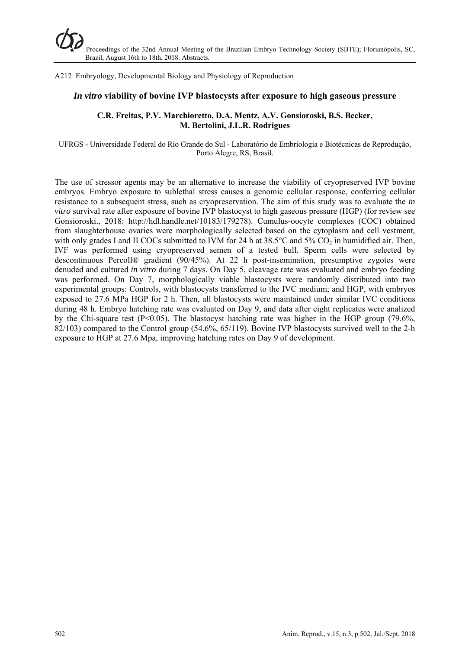A212 Embryology, Developmental Biology and Physiology of Reproduction

#### *In vitro* **viability of bovine IVP blastocysts after exposure to high gaseous pressure**

#### **C.R. Freitas, P.V. Marchioretto, D.A. Mentz, A.V. Gonsioroski, B.S. Becker, M. Bertolini, J.L.R. Rodrigues**

UFRGS - Universidade Federal do Rio Grande do Sul - Laboratório de Embriologia e Biotécnicas de Reprodução, Porto Alegre, RS, Brasil.

The use of stressor agents may be an alternative to increase the viability of cryopreserved IVP bovine embryos. Embryo exposure to sublethal stress causes a genomic cellular response, conferring cellular resistance to a subsequent stress, such as cryopreservation. The aim of this study was to evaluate the *in vitro* survival rate after exposure of bovine IVP blastocyst to high gaseous pressure (HGP) (for review see Gonsioroski., 2018: http://hdl.handle.net/10183/179278). Cumulus-oocyte complexes (COC) obtained from slaughterhouse ovaries were morphologically selected based on the cytoplasm and cell vestment, with only grades I and II COCs submitted to IVM for 24 h at  $38.5^{\circ}$ C and  $5\%$  CO<sub>2</sub> in humidified air. Then, IVF was performed using cryopreserved semen of a tested bull. Sperm cells were selected by descontinuous Percoll® gradient (90/45%). At 22 h post-insemination, presumptive zygotes were denuded and cultured *in vitro* during 7 days. On Day 5, cleavage rate was evaluated and embryo feeding was performed. On Day 7, morphologically viable blastocysts were randomly distributed into two experimental groups: Controls, with blastocysts transferred to the IVC medium; and HGP, with embryos exposed to 27.6 MPa HGP for 2 h. Then, all blastocysts were maintained under similar IVC conditions during 48 h. Embryo hatching rate was evaluated on Day 9, and data after eight replicates were analized by the Chi-square test (P<0.05). The blastocyst hatching rate was higher in the HGP group (79.6%, 82/103) compared to the Control group (54.6%, 65/119). Bovine IVP blastocysts survived well to the 2-h exposure to HGP at 27.6 Mpa, improving hatching rates on Day 9 of development.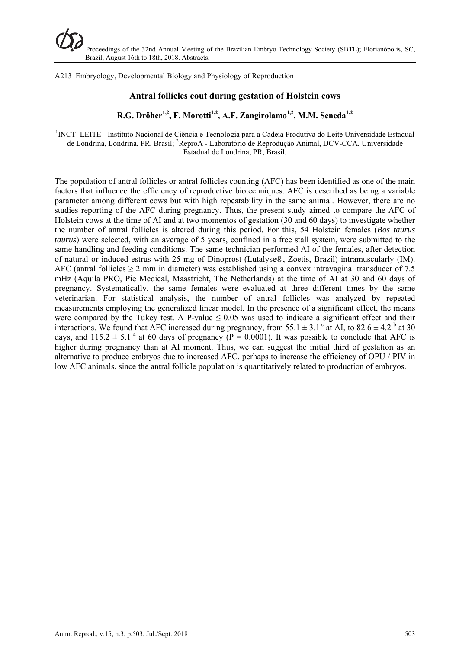A213 Embryology, Developmental Biology and Physiology of Reproduction

# **Antral follicles cout during gestation of Holstein cows**

R.G. Dröher<sup>1,2</sup>, F. Morotti<sup>1,2</sup>, A.F. Zangirolamo<sup>1,2</sup>, M.M. Seneda<sup>1,2</sup>

<sup>1</sup>INCT–LEITE - Instituto Nacional de Ciência e Tecnologia para a Cadeia Produtiva do Leite Universidade Estadual de Londrina, Londrina, PR, Brasil; <sup>2</sup>ReproA - Laboratório de Reprodução Animal, DCV-CCA, Universidade Estadual de Londrina, PR, Brasil.

The population of antral follicles or antral follicles counting (AFC) has been identified as one of the main factors that influence the efficiency of reproductive biotechniques. AFC is described as being a variable parameter among different cows but with high repeatability in the same animal. However, there are no studies reporting of the AFC during pregnancy. Thus, the present study aimed to compare the AFC of Holstein cows at the time of AI and at two momentos of gestation (30 and 60 days) to investigate whether the number of antral follicles is altered during this period. For this, 54 Holstein females (*Bos taurus taurus*) were selected, with an average of 5 years, confined in a free stall system, were submitted to the same handling and feeding conditions. The same technician performed AI of the females, after detection of natural or induced estrus with 25 mg of Dinoprost (Lutalyse®, Zoetis, Brazil) intramuscularly (IM). AFC (antral follicles  $\geq 2$  mm in diameter) was established using a convex intravaginal transducer of 7.5 mHz (Aquila PRO, Pie Medical, Maastricht, The Netherlands) at the time of AI at 30 and 60 days of pregnancy. Systematically, the same females were evaluated at three different times by the same veterinarian. For statistical analysis, the number of antral follicles was analyzed by repeated measurements employing the generalized linear model. In the presence of a significant effect, the means were compared by the Tukey test. A P-value  $\leq 0.05$  was used to indicate a significant effect and their interactions. We found that AFC increased during pregnancy, from 55.1  $\pm$  3.1 ° at AI, to 82.6  $\pm$  4.2 <sup>b</sup> at 30 days, and 115.2  $\pm$  5.1<sup>a</sup> at 60 days of pregnancy (P = 0.0001). It was possible to conclude that AFC is higher during pregnancy than at AI moment. Thus, we can suggest the initial third of gestation as an alternative to produce embryos due to increased AFC, perhaps to increase the efficiency of OPU / PIV in low AFC animals, since the antral follicle population is quantitatively related to production of embryos.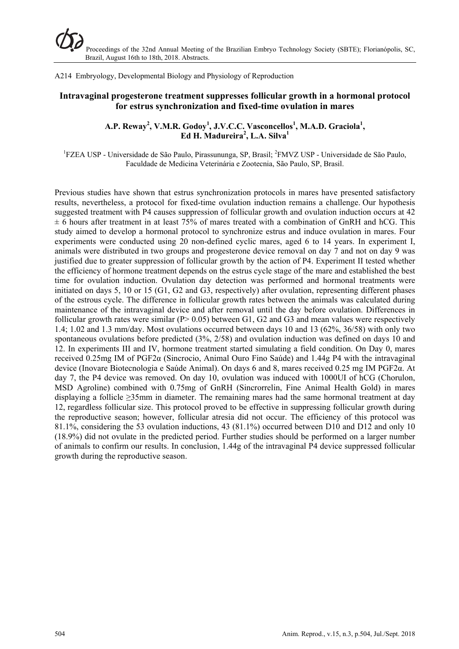A214 Embryology, Developmental Biology and Physiology of Reproduction

# **Intravaginal progesterone treatment suppresses follicular growth in a hormonal protocol for estrus synchronization and fixed-time ovulation in mares**

#### A.P. Reway<sup>2</sup>, V.M.R. Godoy<sup>1</sup>, J.V.C.C. Vasconcellos<sup>1</sup>, M.A.D. Graciola<sup>1</sup>, **Ed H. Madureira<sup>2</sup> , L.A. Silva1**

<sup>1</sup>FZEA USP - Universidade de São Paulo, Pirassununga, SP, Brasil; <sup>2</sup>FMVZ USP - Universidade de São Paulo, Faculdade de Medicina Veterinária e Zootecnia, São Paulo, SP, Brasil.

Previous studies have shown that estrus synchronization protocols in mares have presented satisfactory results, nevertheless, a protocol for fixed-time ovulation induction remains a challenge. Our hypothesis suggested treatment with P4 causes suppression of follicular growth and ovulation induction occurs at 42  $\pm$  6 hours after treatment in at least 75% of mares treated with a combination of GnRH and hCG. This study aimed to develop a hormonal protocol to synchronize estrus and induce ovulation in mares. Four experiments were conducted using 20 non-defined cyclic mares, aged 6 to 14 years. In experiment I, animals were distributed in two groups and progesterone device removal on day 7 and not on day 9 was justified due to greater suppression of follicular growth by the action of P4. Experiment II tested whether the efficiency of hormone treatment depends on the estrus cycle stage of the mare and established the best time for ovulation induction. Ovulation day detection was performed and hormonal treatments were initiated on days 5, 10 or 15 (G1, G2 and G3, respectively) after ovulation, representing different phases of the estrous cycle. The difference in follicular growth rates between the animals was calculated during maintenance of the intravaginal device and after removal until the day before ovulation. Differences in follicular growth rates were similar ( $P > 0.05$ ) between G1, G2 and G3 and mean values were respectively 1.4; 1.02 and 1.3 mm/day. Most ovulations occurred between days 10 and 13 (62%, 36/58) with only two spontaneous ovulations before predicted (3%, 2/58) and ovulation induction was defined on days 10 and 12. In experiments III and IV, hormone treatment started simulating a field condition. On Day 0, mares received 0.25mg IM of PGF2α (Sincrocio, Animal Ouro Fino Saúde) and 1.44g P4 with the intravaginal device (Inovare Biotecnologia e Saúde Animal). On days 6 and 8, mares received 0.25 mg IM PGF2α. At day 7, the P4 device was removed. On day 10, ovulation was induced with 1000UI of hCG (Chorulon, MSD Agroline) combined with 0.75mg of GnRH (Sincrorrelin, Fine Animal Health Gold) in mares displaying a follicle  $\geq 35$ mm in diameter. The remaining mares had the same hormonal treatment at day 12, regardless follicular size. This protocol proved to be effective in suppressing follicular growth during the reproductive season; however, follicular atresia did not occur. The efficiency of this protocol was 81.1%, considering the 53 ovulation inductions, 43 (81.1%) occurred between D10 and D12 and only 10 (18.9%) did not ovulate in the predicted period. Further studies should be performed on a larger number of animals to confirm our results. In conclusion, 1.44g of the intravaginal P4 device suppressed follicular growth during the reproductive season.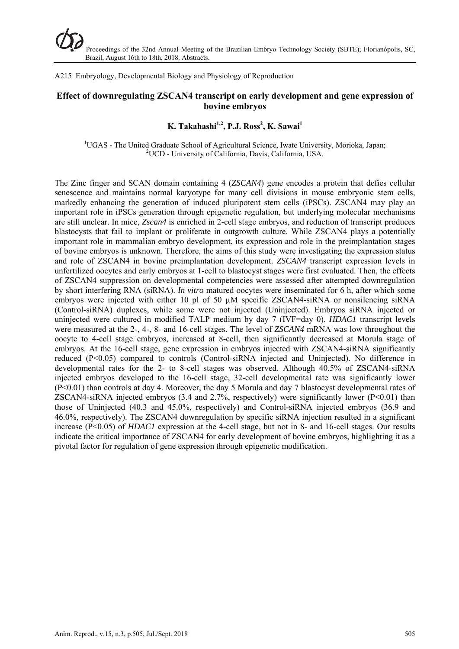A215 Embryology, Developmental Biology and Physiology of Reproduction

# **Effect of downregulating ZSCAN4 transcript on early development and gene expression of bovine embryos**

# $K$ . Takahashi<sup>1,2</sup>, P.J. Ross<sup>2</sup>, K. Sawai<sup>1</sup>

<sup>1</sup>UGAS - The United Graduate School of Agricultural Science, Iwate University, Morioka, Japan; <sup>2</sup>LICD, University of Colifornia, Davis, Colifornia, USA <sup>2</sup>UCD - University of California, Davis, California, USA.

The Zinc finger and SCAN domain containing 4 (*ZSCAN4*) gene encodes a protein that defies cellular senescence and maintains normal karyotype for many cell divisions in mouse embryonic stem cells, markedly enhancing the generation of induced pluripotent stem cells (iPSCs). ZSCAN4 may play an important role in iPSCs generation through epigenetic regulation, but underlying molecular mechanisms are still unclear. In mice, *Zscan4* is enriched in 2-cell stage embryos, and reduction of transcript produces blastocysts that fail to implant or proliferate in outgrowth culture. While ZSCAN4 plays a potentially important role in mammalian embryo development, its expression and role in the preimplantation stages of bovine embryos is unknown. Therefore, the aims of this study were investigating the expression status and role of ZSCAN4 in bovine preimplantation development. *ZSCAN4* transcript expression levels in unfertilized oocytes and early embryos at 1-cell to blastocyst stages were first evaluated. Then, the effects of ZSCAN4 suppression on developmental competencies were assessed after attempted downregulation by short interfering RNA (siRNA). *In vitro* matured oocytes were inseminated for 6 h, after which some embryos were injected with either 10 pl of 50 µM specific ZSCAN4-siRNA or nonsilencing siRNA (Control-siRNA) duplexes, while some were not injected (Uninjected). Embryos siRNA injected or uninjected were cultured in modified TALP medium by day 7 (IVF=day 0). *HDAC1* transcript levels were measured at the 2-, 4-, 8- and 16-cell stages. The level of *ZSCAN4* mRNA was low throughout the oocyte to 4-cell stage embryos, increased at 8-cell, then significantly decreased at Morula stage of embryos. At the 16-cell stage, gene expression in embryos injected with ZSCAN4-siRNA significantly reduced (P<0.05) compared to controls (Control-siRNA injected and Uninjected). No difference in developmental rates for the 2- to 8-cell stages was observed. Although 40.5% of ZSCAN4-siRNA injected embryos developed to the 16-cell stage, 32-cell developmental rate was significantly lower (P<0.01) than controls at day 4. Moreover, the day 5 Morula and day 7 blastocyst developmental rates of ZSCAN4-siRNA injected embryos  $(3.4 \text{ and } 2.7\%$ , respectively) were significantly lower  $(P<0.01)$  than those of Uninjected (40.3 and 45.0%, respectively) and Control-siRNA injected embryos (36.9 and 46.0%, respectively). The ZSCAN4 downregulation by specific siRNA injection resulted in a significant increase (P<0.05) of *HDAC1* expression at the 4-cell stage, but not in 8- and 16-cell stages. Our results indicate the critical importance of ZSCAN4 for early development of bovine embryos, highlighting it as a pivotal factor for regulation of gene expression through epigenetic modification.